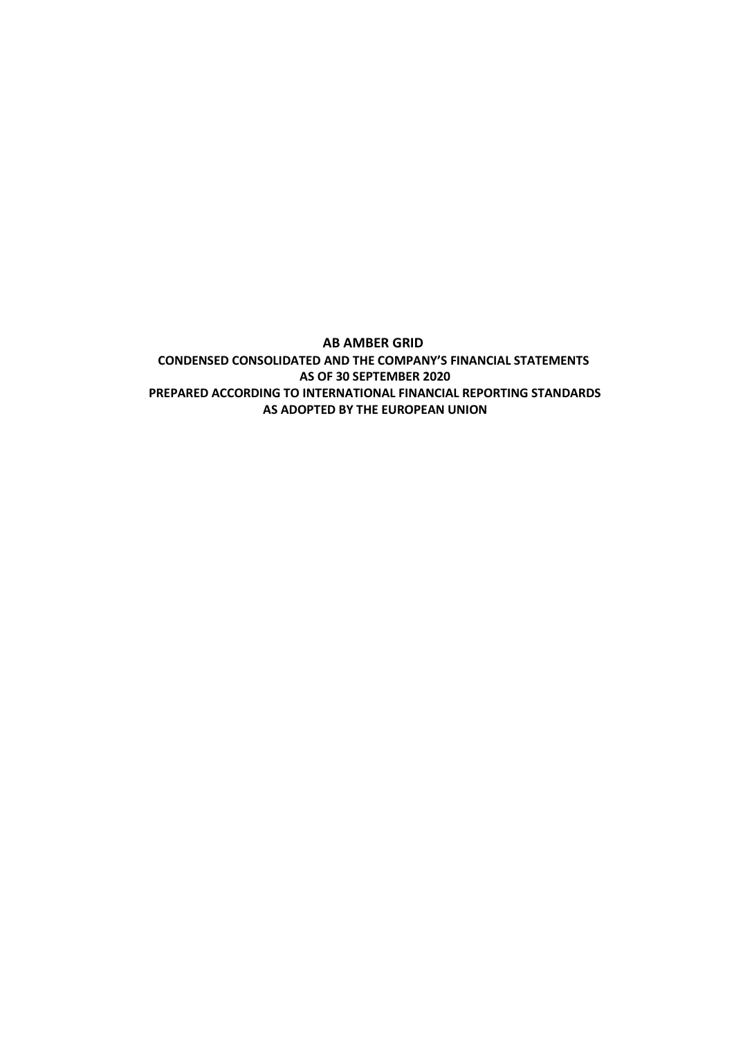**AB AMBER GRID CONDENSED CONSOLIDATED AND THE COMPANY'S FINANCIAL STATEMENTS AS OF 30 SEPTEMBER 2020 PREPARED ACCORDING TO INTERNATIONAL FINANCIAL REPORTING STANDARDS AS ADOPTED BY THE EUROPEAN UNION**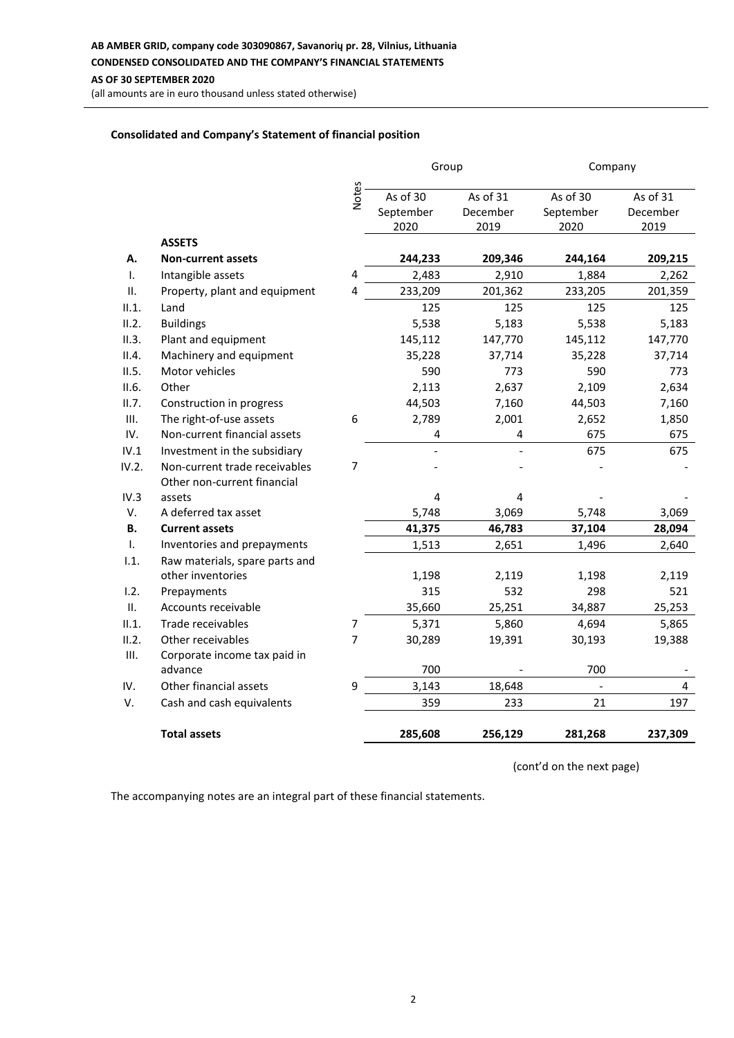**AB AMBER GRID, company code 303090867, Savanorių pr. 28, Vilnius, Lithuania**

**CONDENSED CONSOLIDATED AND THE COMPANY'S FINANCIAL STATEMENTS**

**AS OF 30 SEPTEMBER 2020**

(all amounts are in euro thousand unless stated otherwise)

## **Consolidated and Company's Statement of financial position**

|              |                                |                | Group                         |                              | Company                       |                              |  |
|--------------|--------------------------------|----------------|-------------------------------|------------------------------|-------------------------------|------------------------------|--|
|              |                                | Notes          | As of 30<br>September<br>2020 | As of 31<br>December<br>2019 | As of 30<br>September<br>2020 | As of 31<br>December<br>2019 |  |
|              | <b>ASSETS</b>                  |                |                               |                              |                               |                              |  |
| А.           | <b>Non-current assets</b>      |                | 244,233                       | 209,346                      | 244,164                       | 209,215                      |  |
| Τ.           | Intangible assets              | 4              | 2,483                         | 2,910                        | 1,884                         | 2,262                        |  |
| ΙΙ.          | Property, plant and equipment  | 4              | 233,209                       | 201,362                      | 233,205                       | 201,359                      |  |
| II.1.        | Land                           |                | 125                           | 125                          | 125                           | 125                          |  |
| II.2.        | <b>Buildings</b>               |                | 5,538                         | 5,183                        | 5,538                         | 5,183                        |  |
| II.3.        | Plant and equipment            |                | 145,112                       | 147,770                      | 145,112                       | 147,770                      |  |
| II.4.        | Machinery and equipment        |                | 35,228                        | 37,714                       | 35,228                        | 37,714                       |  |
| II.5.        | Motor vehicles                 |                | 590                           | 773                          | 590                           | 773                          |  |
| II.6.        | Other                          |                | 2,113                         | 2,637                        | 2,109                         | 2,634                        |  |
| II.7.        | Construction in progress       |                | 44,503                        | 7,160                        | 44,503                        | 7,160                        |  |
| Ш.           | The right-of-use assets        | 6              | 2,789                         | 2,001                        | 2,652                         | 1,850                        |  |
| IV.          | Non-current financial assets   |                | 4                             | 4                            | 675                           | 675                          |  |
| IV.1         | Investment in the subsidiary   |                |                               |                              | 675                           | 675                          |  |
| IV.2.        | Non-current trade receivables  | 7              |                               |                              |                               |                              |  |
|              | Other non-current financial    |                |                               |                              |                               |                              |  |
| IV.3         | assets                         |                | 4                             | 4                            |                               |                              |  |
| V.           | A deferred tax asset           |                | 5,748                         | 3,069                        | 5,748                         | 3,069                        |  |
| <b>B.</b>    | <b>Current assets</b>          |                | 41,375                        | 46,783                       | 37,104                        | 28,094                       |  |
| $\mathsf{L}$ | Inventories and prepayments    |                | 1,513                         | 2,651                        | 1,496                         | 2,640                        |  |
| 1.1.         | Raw materials, spare parts and |                |                               |                              |                               |                              |  |
|              | other inventories              |                | 1,198                         | 2,119                        | 1,198                         | 2,119                        |  |
| 1.2.         | Prepayments                    |                | 315                           | 532                          | 298                           | 521                          |  |
| ΙΙ.          | Accounts receivable            |                | 35,660                        | 25,251                       | 34,887                        | 25,253                       |  |
| II.1.        | Trade receivables              | $\overline{7}$ | 5,371                         | 5,860                        | 4,694                         | 5,865                        |  |
| II.2.        | Other receivables              | 7              | 30,289                        | 19,391                       | 30,193                        | 19,388                       |  |
| Ш.           | Corporate income tax paid in   |                | 700                           |                              | 700                           |                              |  |
|              | advance                        |                |                               |                              |                               |                              |  |
| IV.          | Other financial assets         | 9              | 3,143                         | 18,648                       |                               | $\overline{4}$               |  |
| V.           | Cash and cash equivalents      |                | 359                           | 233                          | 21                            | 197                          |  |
|              | <b>Total assets</b>            |                | 285,608                       | 256,129                      | 281,268                       | 237,309                      |  |

(cont'd on the next page)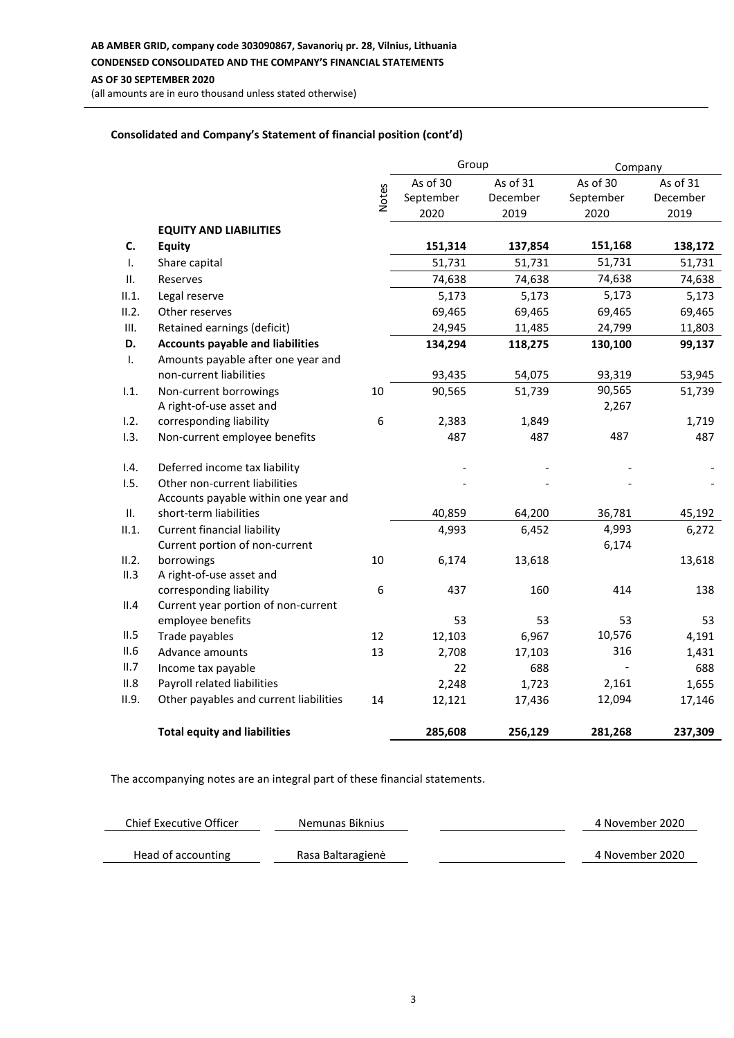**AB AMBER GRID, company code 303090867, Savanorių pr. 28, Vilnius, Lithuania CONDENSED CONSOLIDATED AND THE COMPANY'S FINANCIAL STATEMENTS AS OF 30 SEPTEMBER 2020**

(all amounts are in euro thousand unless stated otherwise)

## **Consolidated and Company's Statement of financial position (cont'd)**

|                |                                         |              | Group     |          | Company   |          |
|----------------|-----------------------------------------|--------------|-----------|----------|-----------|----------|
|                |                                         |              | As of 30  | As of 31 | As of 30  | As of 31 |
|                |                                         | <b>Notes</b> | September | December | September | December |
|                |                                         |              | 2020      | 2019     | 2020      | 2019     |
|                | <b>EQUITY AND LIABILITIES</b>           |              |           |          |           |          |
| C.             | <b>Equity</b>                           |              | 151,314   | 137,854  | 151,168   | 138,172  |
| Τ.             | Share capital                           |              | 51,731    | 51,731   | 51,731    | 51,731   |
| П.             | Reserves                                |              | 74,638    | 74,638   | 74,638    | 74,638   |
| II.1.          | Legal reserve                           |              | 5,173     | 5,173    | 5,173     | 5,173    |
| II.2.          | Other reserves                          |              | 69,465    | 69,465   | 69,465    | 69,465   |
| Ш.             | Retained earnings (deficit)             |              | 24,945    | 11,485   | 24,799    | 11,803   |
| D.             | <b>Accounts payable and liabilities</b> |              | 134,294   | 118,275  | 130,100   | 99,137   |
| $\mathbf{I}$ . | Amounts payable after one year and      |              |           |          |           |          |
|                | non-current liabilities                 |              | 93,435    | 54,075   | 93,319    | 53,945   |
| 1.1.           | Non-current borrowings                  | 10           | 90,565    | 51,739   | 90,565    | 51,739   |
|                | A right-of-use asset and                |              |           |          | 2,267     |          |
| 1.2.           | corresponding liability                 | 6            | 2,383     | 1,849    |           | 1,719    |
| 1.3.           | Non-current employee benefits           |              | 487       | 487      | 487       | 487      |
| 1.4.           | Deferred income tax liability           |              |           |          |           |          |
| 1.5.           | Other non-current liabilities           |              |           |          |           |          |
|                | Accounts payable within one year and    |              |           |          |           |          |
| Ш.             | short-term liabilities                  |              | 40,859    | 64,200   | 36,781    | 45,192   |
| II.1.          | <b>Current financial liability</b>      |              | 4,993     | 6,452    | 4,993     | 6,272    |
|                | Current portion of non-current          |              |           |          | 6,174     |          |
| II.2.          | borrowings                              | 10           | 6,174     | 13,618   |           | 13,618   |
| II.3           | A right-of-use asset and                |              |           |          |           |          |
|                | corresponding liability                 | 6            | 437       | 160      | 414       | 138      |
| II.4           | Current year portion of non-current     |              |           |          |           |          |
|                | employee benefits                       |              | 53        | 53       | 53        | 53       |
| II.5           | Trade payables                          | 12           | 12,103    | 6,967    | 10,576    | 4,191    |
| II.6           | Advance amounts                         | 13           | 2,708     | 17,103   | 316       | 1,431    |
| II.7           | Income tax payable                      |              | 22        | 688      |           | 688      |
| II.8           | Payroll related liabilities             |              | 2,248     | 1,723    | 2,161     | 1,655    |
| II.9.          | Other payables and current liabilities  | 14           | 12,121    | 17,436   | 12,094    | 17,146   |
|                | <b>Total equity and liabilities</b>     |              | 285,608   | 256,129  | 281,268   | 237,309  |

| Chief Executive Officer | Nemunas Biknius   | 4 November 2020 |
|-------------------------|-------------------|-----------------|
| Head of accounting      | Rasa Baltaragienė | 4 November 2020 |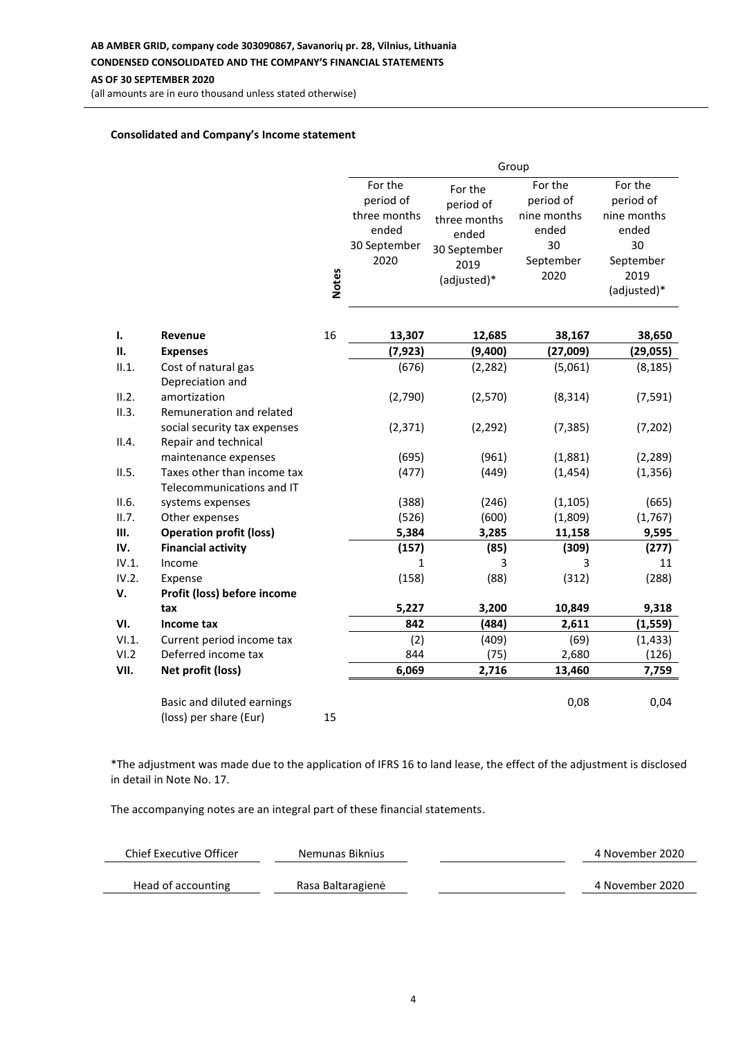#### **AB AMBER GRID, company code 303090867, Savanorių pr. 28, Vilnius, Lithuania**

#### **CONDENSED CONSOLIDATED AND THE COMPANY'S FINANCIAL STATEMENTS**

**AS OF 30 SEPTEMBER 2020**

(all amounts are in euro thousand unless stated otherwise)

#### **Consolidated and Company's Income statement**

|                |                                                          | Group        |                                               |                                               |                                              |                                              |
|----------------|----------------------------------------------------------|--------------|-----------------------------------------------|-----------------------------------------------|----------------------------------------------|----------------------------------------------|
|                |                                                          |              | For the<br>period of<br>three months<br>ended | For the<br>period of<br>three months<br>ended | For the<br>period of<br>nine months<br>ended | For the<br>period of<br>nine months<br>ended |
|                |                                                          |              | 30 September<br>2020                          | 30 September<br>2019<br>(adjusted)*           | 30<br>September<br>2020                      | 30<br>September<br>2019                      |
|                |                                                          | <b>Notes</b> |                                               |                                               |                                              | (adjusted)*                                  |
| 1.             | <b>Revenue</b>                                           | 16           | 13,307                                        | 12,685                                        | 38,167                                       | 38,650                                       |
| П.             | <b>Expenses</b>                                          |              | (7, 923)                                      | (9,400)                                       | (27,009)                                     | (29, 055)                                    |
| II.1.          | Cost of natural gas<br>Depreciation and                  |              | (676)                                         | (2, 282)                                      | (5,061)                                      | (8, 185)                                     |
| II.2.<br>II.3. | amortization<br>Remuneration and related                 |              | (2,790)                                       | (2,570)                                       | (8, 314)                                     | (7, 591)                                     |
| II.4.          | social security tax expenses<br>Repair and technical     |              | (2, 371)                                      | (2, 292)                                      | (7, 385)                                     | (7, 202)                                     |
|                | maintenance expenses                                     |              | (695)                                         | (961)                                         | (1,881)                                      | (2, 289)                                     |
| II.5.          | Taxes other than income tax<br>Telecommunications and IT |              | (477)                                         | (449)                                         | (1, 454)                                     | (1, 356)                                     |
| II.6.          | systems expenses                                         |              | (388)                                         | (246)                                         | (1, 105)                                     | (665)                                        |
| II.7.          | Other expenses                                           |              | (526)                                         | (600)                                         | (1,809)                                      | (1,767)                                      |
| III.           | <b>Operation profit (loss)</b>                           |              | 5,384                                         | 3,285                                         | 11,158                                       | 9,595                                        |
| IV.<br>IV.1.   | <b>Financial activity</b><br>Income                      |              | (157)<br>1                                    | (85)                                          | (309)                                        | (277)<br>11                                  |
| IV.2.          | Expense                                                  |              | (158)                                         | 3<br>(88)                                     | 3<br>(312)                                   | (288)                                        |
| V.             | Profit (loss) before income                              |              |                                               |                                               |                                              |                                              |
|                | tax                                                      |              | 5,227                                         | 3,200                                         | 10,849                                       | 9,318                                        |
| VI.            | Income tax                                               |              | 842                                           | (484)                                         | 2,611                                        | (1, 559)                                     |
| VI.1.          | Current period income tax                                |              | (2)                                           | (409)                                         | (69)                                         | (1, 433)                                     |
| VI.2           | Deferred income tax                                      |              | 844                                           | (75)                                          | 2,680                                        | (126)                                        |
| VII.           | Net profit (loss)                                        |              | 6,069                                         | 2,716                                         | 13,460                                       | 7,759                                        |
|                | Basic and diluted earnings<br>(loss) per share (Eur)     | 15           |                                               |                                               | 0,08                                         | 0,04                                         |
|                |                                                          |              |                                               |                                               |                                              |                                              |

\*The adjustment was made due to the application of IFRS 16 to land lease, the effect of the adjustment is disclosed in detail in Note No. 17.

| Chief Executive Officer | Nemunas Biknius   | 4 November 2020 |
|-------------------------|-------------------|-----------------|
|                         |                   |                 |
| Head of accounting      | Rasa Baltaragienė | 4 November 2020 |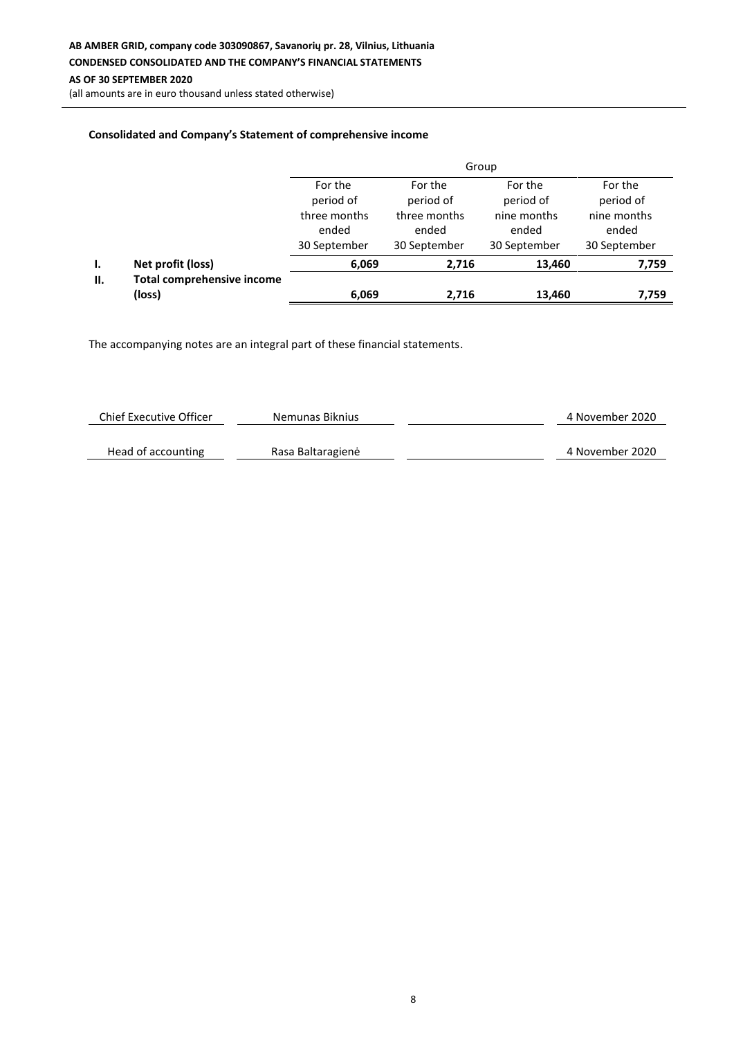(all amounts are in euro thousand unless stated otherwise)

## **Consolidated and Company's Statement of comprehensive income**

|     |                                             | Group                                 |                                       |                                      |                                      |  |  |
|-----|---------------------------------------------|---------------------------------------|---------------------------------------|--------------------------------------|--------------------------------------|--|--|
|     |                                             | For the<br>period of                  | For the<br>period of                  | For the<br>period of                 | For the<br>period of                 |  |  |
|     |                                             | three months<br>ended<br>30 September | three months<br>ended<br>30 September | nine months<br>ended<br>30 September | nine months<br>ended<br>30 September |  |  |
| Ι.  | Net profit (loss)                           | 6,069                                 | 2,716                                 | 13,460                               | 7,759                                |  |  |
| II. | <b>Total comprehensive income</b><br>(loss) | 6,069                                 | 2,716                                 | 13,460                               | 7,759                                |  |  |

| <b>Chief Executive Officer</b> | Nemunas Biknius   | 4 November 2020 |
|--------------------------------|-------------------|-----------------|
|                                |                   |                 |
| Head of accounting             | Rasa Baltaragienė | 4 November 2020 |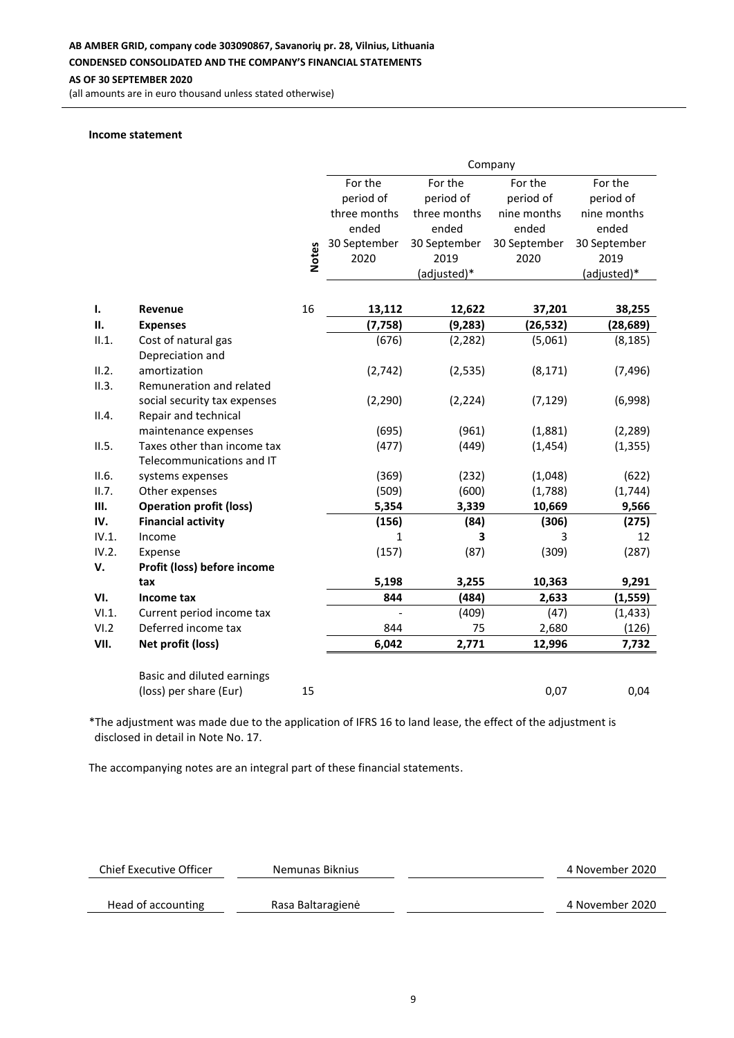**AS OF 30 SEPTEMBER 2020**

(all amounts are in euro thousand unless stated otherwise)

#### **Income statement**

|              |                                |              | Company      |              |              |              |
|--------------|--------------------------------|--------------|--------------|--------------|--------------|--------------|
|              |                                |              | For the      | For the      | For the      | For the      |
|              |                                |              | period of    | period of    | period of    | period of    |
|              |                                |              | three months | three months | nine months  | nine months  |
|              |                                |              | ended        | ended        | ended        | ended        |
|              |                                |              | 30 September | 30 September | 30 September | 30 September |
|              |                                | <b>Notes</b> | 2020         | 2019         | 2020         | 2019         |
|              |                                |              |              | (adjusted)*  |              | (adjusted)*  |
|              |                                |              |              |              |              |              |
| $\mathbf{L}$ | Revenue                        | 16           | 13,112       | 12,622       | 37,201       | 38,255       |
| П.           | <b>Expenses</b>                |              | (7, 758)     | (9, 283)     | (26, 532)    | (28, 689)    |
| II.1.        | Cost of natural gas            |              | (676)        | (2, 282)     | (5,061)      | (8, 185)     |
|              | Depreciation and               |              |              |              |              |              |
| II.2.        | amortization                   |              | (2, 742)     | (2, 535)     | (8, 171)     | (7, 496)     |
| II.3.        | Remuneration and related       |              |              |              |              |              |
|              | social security tax expenses   |              | (2, 290)     | (2, 224)     | (7, 129)     | (6,998)      |
| II.4.        | Repair and technical           |              |              |              |              |              |
|              | maintenance expenses           |              | (695)        | (961)        | (1,881)      | (2, 289)     |
| II.5.        | Taxes other than income tax    |              | (477)        | (449)        | (1, 454)     | (1, 355)     |
|              | Telecommunications and IT      |              |              |              |              |              |
| II.6.        | systems expenses               |              | (369)        | (232)        | (1,048)      | (622)        |
| II.7.        | Other expenses                 |              | (509)        | (600)        | (1,788)      | (1,744)      |
| III.         | <b>Operation profit (loss)</b> |              | 5,354        | 3,339        | 10,669       | 9,566        |
| IV.          | <b>Financial activity</b>      |              | (156)        | (84)         | (306)        | (275)        |
| IV.1.        | Income                         |              | 1            | 3            | 3            | 12           |
| IV.2.        | Expense                        |              | (157)        | (87)         | (309)        | (287)        |
| V.           | Profit (loss) before income    |              |              |              |              |              |
|              | tax                            |              | 5,198        | 3,255        | 10,363       | 9,291        |
| VI.          | Income tax                     |              | 844          | (484)        | 2,633        | (1, 559)     |
| VI.1.        | Current period income tax      |              |              | (409)        | (47)         | (1, 433)     |
| VI.2         | Deferred income tax            |              | 844          | 75           | 2,680        | (126)        |
| VII.         | Net profit (loss)              |              | 6,042        | 2,771        | 12,996       | 7,732        |
|              |                                |              |              |              |              |              |
|              | Basic and diluted earnings     |              |              |              |              |              |
|              | (loss) per share (Eur)         | 15           |              |              | 0,07         | 0,04         |

\*The adjustment was made due to the application of IFRS 16 to land lease, the effect of the adjustment is disclosed in detail in Note No. 17.

| Chief Executive Officer | Nemunas Biknius   | 4 November 2020 |
|-------------------------|-------------------|-----------------|
|                         |                   |                 |
| Head of accounting      | Rasa Baltaragienė | 4 November 2020 |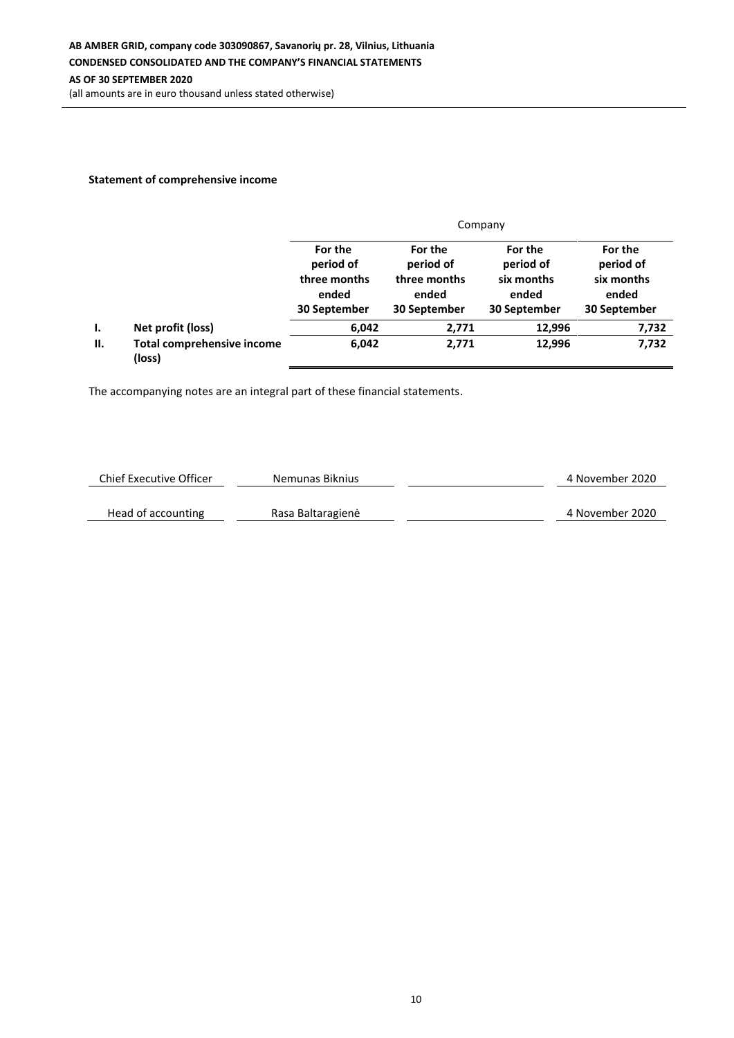# **Statement of comprehensive income**

|    |                                             | Company                                                       |                                                               |                                                             |                                                             |  |  |
|----|---------------------------------------------|---------------------------------------------------------------|---------------------------------------------------------------|-------------------------------------------------------------|-------------------------------------------------------------|--|--|
|    |                                             | For the<br>period of<br>three months<br>ended<br>30 September | For the<br>period of<br>three months<br>ended<br>30 September | For the<br>period of<br>six months<br>ended<br>30 September | For the<br>period of<br>six months<br>ended<br>30 September |  |  |
| Ι. | Net profit (loss)                           | 6,042                                                         | 2,771                                                         | 12,996                                                      | 7,732                                                       |  |  |
| П. | <b>Total comprehensive income</b><br>(loss) | 6,042                                                         | 2,771                                                         | 12,996                                                      | 7,732                                                       |  |  |

| Chief Executive Officer | Nemunas Biknius   | 4 November 2020 |
|-------------------------|-------------------|-----------------|
|                         |                   |                 |
| Head of accounting      | Rasa Baltaragienė | 4 November 2020 |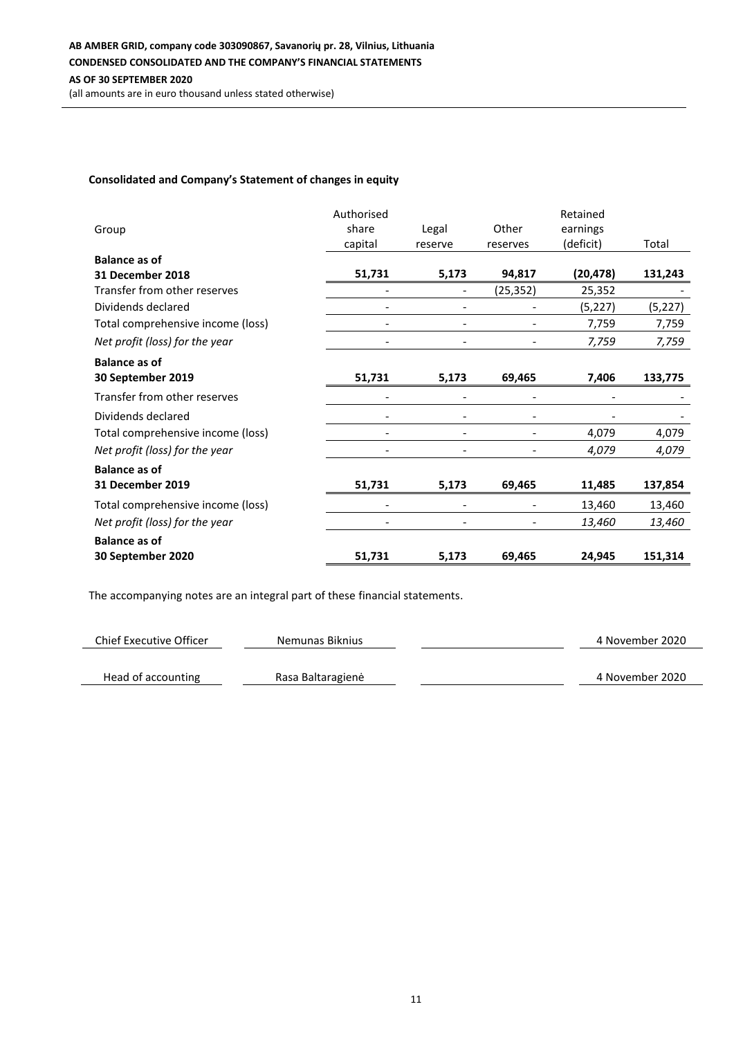# **Consolidated and Company's Statement of changes in equity**

| Group                             | Authorised<br>share      | Legal                        | Other    | Retained<br>earnings |          |
|-----------------------------------|--------------------------|------------------------------|----------|----------------------|----------|
|                                   | capital                  | reserve                      | reserves | (deficit)            | Total    |
| <b>Balance as of</b>              |                          |                              |          |                      |          |
| 31 December 2018                  | 51,731                   | 5,173                        | 94,817   | (20, 478)            | 131,243  |
| Transfer from other reserves      |                          |                              | (25,352) | 25,352               |          |
| Dividends declared                |                          |                              |          | (5, 227)             | (5, 227) |
| Total comprehensive income (loss) |                          |                              |          | 7,759                | 7,759    |
| Net profit (loss) for the year    | $\overline{\phantom{a}}$ | $\qquad \qquad \blacksquare$ |          | 7,759                | 7,759    |
| <b>Balance as of</b>              |                          |                              |          |                      |          |
| 30 September 2019                 | 51,731                   | 5,173                        | 69,465   | 7,406                | 133,775  |
| Transfer from other reserves      |                          |                              |          |                      |          |
| Dividends declared                |                          |                              |          |                      |          |
| Total comprehensive income (loss) |                          |                              |          | 4,079                | 4,079    |
| Net profit (loss) for the year    |                          |                              |          | 4,079                | 4,079    |
| <b>Balance as of</b>              |                          |                              |          |                      |          |
| 31 December 2019                  | 51,731                   | 5,173                        | 69,465   | 11,485               | 137,854  |
| Total comprehensive income (loss) |                          |                              |          | 13,460               | 13,460   |
| Net profit (loss) for the year    |                          |                              |          | 13,460               | 13,460   |
| <b>Balance as of</b>              |                          |                              |          |                      |          |
| 30 September 2020                 | 51,731                   | 5,173                        | 69,465   | 24,945               | 151,314  |

| Chief Executive Officer | Nemunas Biknius   | 4 November 2020 |
|-------------------------|-------------------|-----------------|
|                         |                   |                 |
| Head of accounting      | Rasa Baltaragienė | 4 November 2020 |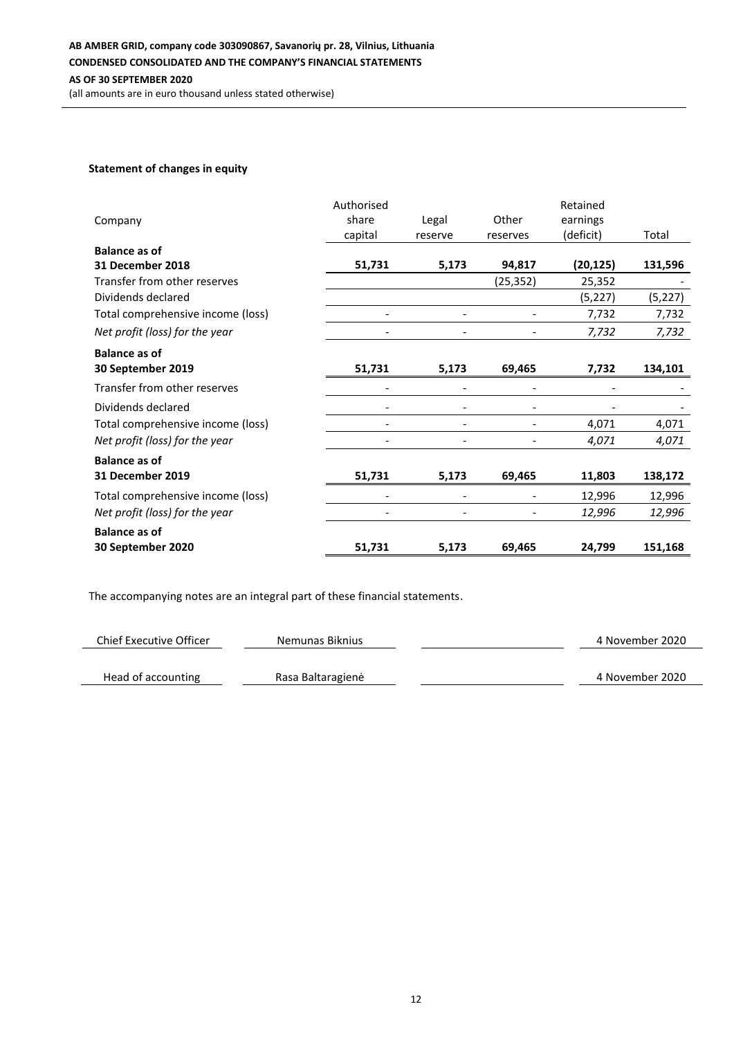## **Statement of changes in equity**

|                                   | Authorised               |         |           | Retained  |          |
|-----------------------------------|--------------------------|---------|-----------|-----------|----------|
| Company                           | share                    | Legal   | Other     | earnings  |          |
|                                   | capital                  | reserve | reserves  | (deficit) | Total    |
| <b>Balance as of</b>              |                          |         |           |           |          |
| 31 December 2018                  | 51,731                   | 5,173   | 94,817    | (20, 125) | 131,596  |
| Transfer from other reserves      |                          |         | (25, 352) | 25,352    |          |
| Dividends declared                |                          |         |           | (5,227)   | (5, 227) |
| Total comprehensive income (loss) |                          |         |           | 7,732     | 7,732    |
| Net profit (loss) for the year    | $\overline{\phantom{a}}$ |         |           | 7,732     | 7,732    |
| <b>Balance as of</b>              |                          |         |           |           |          |
| 30 September 2019                 | 51,731                   | 5,173   | 69,465    | 7,732     | 134,101  |
| Transfer from other reserves      |                          |         |           |           |          |
| Dividends declared                |                          |         |           |           |          |
| Total comprehensive income (loss) |                          |         |           | 4,071     | 4,071    |
| Net profit (loss) for the year    |                          |         |           | 4,071     | 4,071    |
| <b>Balance as of</b>              |                          |         |           |           |          |
| <b>31 December 2019</b>           | 51,731                   | 5,173   | 69,465    | 11,803    | 138,172  |
| Total comprehensive income (loss) |                          |         |           | 12,996    | 12,996   |
| Net profit (loss) for the year    |                          |         |           | 12,996    | 12,996   |
| <b>Balance as of</b>              |                          |         |           |           |          |
| 30 September 2020                 | 51,731                   | 5,173   | 69,465    | 24,799    | 151,168  |

| Chief Executive Officer | Nemunas Biknius   | 4 November 2020 |
|-------------------------|-------------------|-----------------|
|                         |                   |                 |
| Head of accounting      | Rasa Baltaragienė | 4 November 2020 |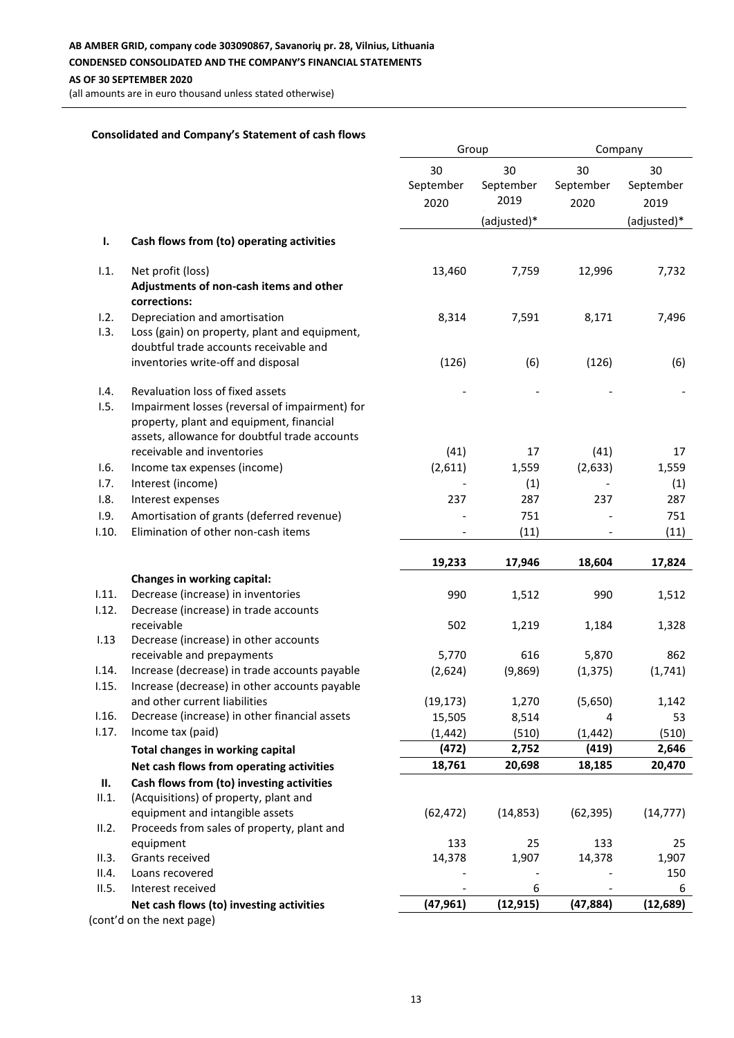(all amounts are in euro thousand unless stated otherwise)

#### **Consolidated and Company's Statement of cash flows**

|       |                                                                                            | Group                   |                         | Company                 |                         |
|-------|--------------------------------------------------------------------------------------------|-------------------------|-------------------------|-------------------------|-------------------------|
|       |                                                                                            | 30<br>September<br>2020 | 30<br>September<br>2019 | 30<br>September<br>2020 | 30<br>September<br>2019 |
|       |                                                                                            |                         | (adjusted)*             |                         | (adjusted)*             |
| ı.    | Cash flows from (to) operating activities                                                  |                         |                         |                         |                         |
| 1.1.  | Net profit (loss)<br>Adjustments of non-cash items and other                               | 13,460                  | 7,759                   | 12,996                  | 7,732                   |
|       | corrections:                                                                               |                         |                         |                         |                         |
| 1.2.  | Depreciation and amortisation                                                              | 8,314                   | 7,591                   | 8,171                   | 7,496                   |
| 1.3.  | Loss (gain) on property, plant and equipment,<br>doubtful trade accounts receivable and    |                         |                         |                         |                         |
|       | inventories write-off and disposal                                                         | (126)                   | (6)                     | (126)                   | (6)                     |
| 1.4.  | Revaluation loss of fixed assets                                                           |                         |                         |                         |                         |
| 1.5.  | Impairment losses (reversal of impairment) for<br>property, plant and equipment, financial |                         |                         |                         |                         |
|       | assets, allowance for doubtful trade accounts                                              |                         |                         |                         |                         |
|       | receivable and inventories                                                                 | (41)                    | 17                      | (41)                    | 17                      |
| 1.6.  | Income tax expenses (income)                                                               | (2,611)                 | 1,559                   | (2,633)                 | 1,559                   |
| 1.7.  | Interest (income)                                                                          |                         | (1)                     |                         | (1)                     |
| 1.8.  | Interest expenses                                                                          | 237                     | 287                     | 237                     | 287                     |
| 1.9.  | Amortisation of grants (deferred revenue)                                                  |                         | 751                     |                         | 751                     |
| 1.10. | Elimination of other non-cash items                                                        |                         | (11)                    |                         | (11)                    |
|       |                                                                                            | 19,233                  | 17,946                  | 18,604                  | 17,824                  |
|       | Changes in working capital:                                                                |                         |                         |                         |                         |
| 1.11. | Decrease (increase) in inventories                                                         | 990                     | 1,512                   | 990                     | 1,512                   |
| 1.12. | Decrease (increase) in trade accounts                                                      |                         |                         |                         |                         |
|       | receivable                                                                                 | 502                     | 1,219                   | 1,184                   | 1,328                   |
| 1.13  | Decrease (increase) in other accounts                                                      |                         |                         |                         |                         |
|       | receivable and prepayments                                                                 | 5,770                   | 616                     | 5,870                   | 862                     |
| 1.14. | Increase (decrease) in trade accounts payable                                              | (2,624)                 | (9,869)                 | (1, 375)                | (1,741)                 |
| 1.15. | Increase (decrease) in other accounts payable                                              |                         |                         |                         |                         |
|       | and other current liabilities                                                              | (19, 173)               | 1,270                   | (5,650)                 | 1,142                   |
| 1.16. | Decrease (increase) in other financial assets                                              | 15,505                  | 8,514                   | 4                       | 53                      |
| 1.17. | Income tax (paid)                                                                          | (1, 442)                | (510)                   | (1, 442)                | (510)                   |
|       | Total changes in working capital                                                           | (472)                   | 2,752                   | (419)                   | 2,646                   |
|       | Net cash flows from operating activities                                                   | 18,761                  | 20,698                  | 18,185                  | 20,470                  |
| П.    | Cash flows from (to) investing activities                                                  |                         |                         |                         |                         |
| II.1. | (Acquisitions) of property, plant and                                                      |                         |                         |                         |                         |
|       | equipment and intangible assets                                                            | (62, 472)               | (14, 853)               | (62, 395)               | (14, 777)               |
| II.2. | Proceeds from sales of property, plant and                                                 |                         |                         |                         |                         |
|       | equipment                                                                                  | 133                     | 25                      | 133                     | 25                      |
| II.3. | Grants received                                                                            | 14,378                  | 1,907                   | 14,378                  | 1,907                   |
| II.4. | Loans recovered                                                                            |                         |                         |                         | 150                     |
| II.5. | Interest received                                                                          |                         | 6                       |                         | 6                       |
|       | Net cash flows (to) investing activities                                                   | (47, 961)               | (12, 915)               | (47, 884)               | (12, 689)               |
|       | (cont'd on the next page)                                                                  |                         |                         |                         |                         |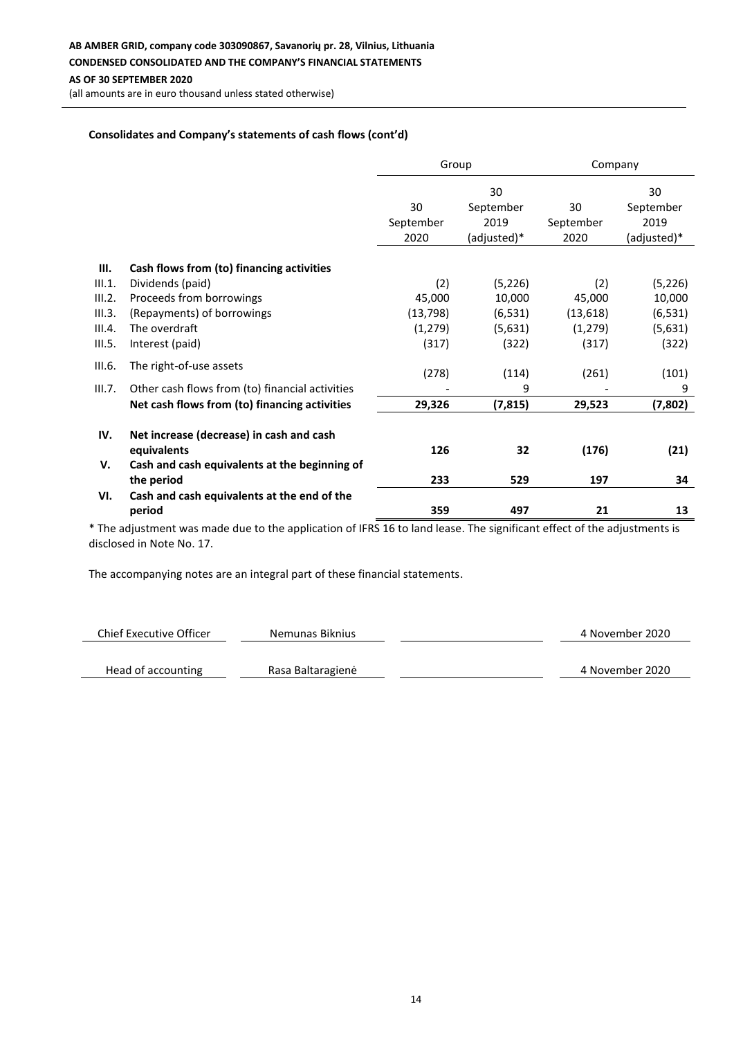**AB AMBER GRID, company code 303090867, Savanorių pr. 28, Vilnius, Lithuania CONDENSED CONSOLIDATED AND THE COMPANY'S FINANCIAL STATEMENTS**

**AS OF 30 SEPTEMBER 2020**

(all amounts are in euro thousand unless stated otherwise)

## **Consolidates and Company's statements of cash flows (cont'd)**

|        |                                                         | Group     |             | Company   |             |
|--------|---------------------------------------------------------|-----------|-------------|-----------|-------------|
|        |                                                         |           | 30          |           | 30          |
|        |                                                         | 30        | September   | 30        | September   |
|        |                                                         | September | 2019        | September | 2019        |
|        |                                                         | 2020      | (adjusted)* | 2020      | (adjusted)* |
| Ш.     | Cash flows from (to) financing activities               |           |             |           |             |
| III.1. | Dividends (paid)                                        | (2)       | (5, 226)    | (2)       | (5, 226)    |
| III.2. | Proceeds from borrowings                                | 45,000    | 10,000      | 45,000    | 10,000      |
| III.3. | (Repayments) of borrowings                              | (13, 798) | (6, 531)    | (13, 618) | (6, 531)    |
| III.4. | The overdraft                                           | (1, 279)  | (5,631)     | (1, 279)  | (5,631)     |
| III.5. | Interest (paid)                                         | (317)     | (322)       | (317)     | (322)       |
| III.6. | The right-of-use assets                                 | (278)     | (114)       | (261)     | (101)       |
| III.7. | Other cash flows from (to) financial activities         |           | 9           |           | 9           |
|        | Net cash flows from (to) financing activities           | 29,326    | (7, 815)    | 29,523    | (7,802)     |
|        |                                                         |           |             |           |             |
| IV.    | Net increase (decrease) in cash and cash<br>equivalents | 126       | 32          | (176)     | (21)        |
| V.     | Cash and cash equivalents at the beginning of           |           |             |           |             |
|        | the period                                              | 233       | 529         | 197       | 34          |
| VI.    | Cash and cash equivalents at the end of the             |           |             |           |             |
|        | period                                                  | 359       | 497         | 21        | 13          |

\* The adjustment was made due to the application of IFRS 16 to land lease. The significant effect of the adjustments is disclosed in Note No. 17.

| Chief Executive Officer | Nemunas Biknius   | 4 November 2020 |
|-------------------------|-------------------|-----------------|
|                         |                   |                 |
| Head of accounting      | Rasa Baltaragienė | 4 November 2020 |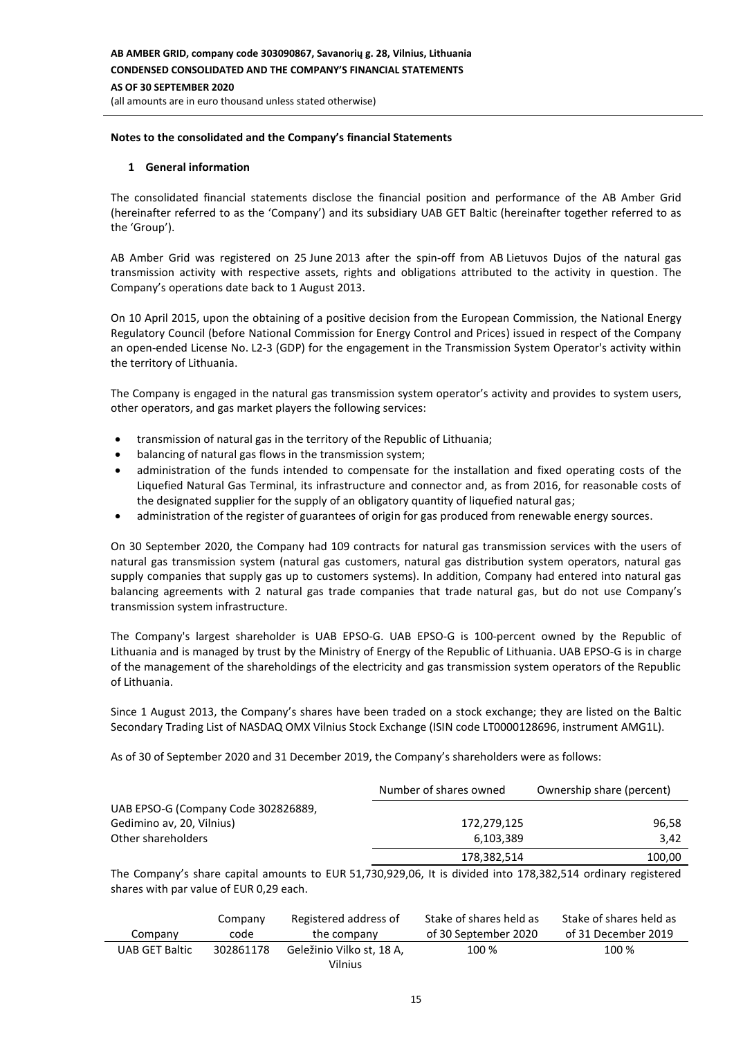#### **Notes to the consolidated and the Company's financial Statements**

#### **1 General information**

The consolidated financial statements disclose the financial position and performance of the AB Amber Grid (hereinafter referred to as the 'Company') and its subsidiary UAB GET Baltic (hereinafter together referred to as the 'Group').

AB Amber Grid was registered on 25 June 2013 after the spin-off from AB Lietuvos Dujos of the natural gas transmission activity with respective assets, rights and obligations attributed to the activity in question. The Company's operations date back to 1 August 2013.

On 10 April 2015, upon the obtaining of a positive decision from the European Commission, the National Energy Regulatory Council (before National Commission for Energy Control and Prices) issued in respect of the Company an open-ended License No. L2-3 (GDP) for the engagement in the Transmission System Operator's activity within the territory of Lithuania.

The Company is engaged in the natural gas transmission system operator's activity and provides to system users, other operators, and gas market players the following services:

- transmission of natural gas in the territory of the Republic of Lithuania;
- balancing of natural gas flows in the transmission system;
- administration of the funds intended to compensate for the installation and fixed operating costs of the Liquefied Natural Gas Terminal, its infrastructure and connector and, as from 2016, for reasonable costs of the designated supplier for the supply of an obligatory quantity of liquefied natural gas;
- administration of the register of guarantees of origin for gas produced from renewable energy sources.

On 30 September 2020, the Company had 109 contracts for natural gas transmission services with the users of natural gas transmission system (natural gas customers, natural gas distribution system operators, natural gas supply companies that supply gas up to customers systems). In addition, Company had entered into natural gas balancing agreements with 2 natural gas trade companies that trade natural gas, but do not use Company's transmission system infrastructure.

The Company's largest shareholder is UAB EPSO-G. UAB EPSO-G is 100-percent owned by the Republic of Lithuania and is managed by trust by the Ministry of Energy of the Republic of Lithuania. UAB EPSO-G is in charge of the management of the shareholdings of the electricity and gas transmission system operators of the Republic of Lithuania.

Since 1 August 2013, the Company's shares have been traded on a stock exchange; they are listed on the Baltic Secondary Trading List of NASDAQ OMX Vilnius Stock Exchange (ISIN code LT0000128696, instrument AMG1L).

As of 30 of September 2020 and 31 December 2019, the Company's shareholders were as follows:

|                                     | Number of shares owned | Ownership share (percent) |
|-------------------------------------|------------------------|---------------------------|
| UAB EPSO-G (Company Code 302826889, |                        |                           |
| Gedimino av, 20, Vilnius)           | 172,279,125            | 96,58                     |
| Other shareholders                  | 6,103,389              | 3.42                      |
|                                     | 178,382,514            | 100,00                    |

The Company's share capital amounts to EUR 51,730,929,06, It is divided into 178,382,514 ordinary registered shares with par value of EUR 0,29 each.

|                       | Company   | Registered address of     | Stake of shares held as | Stake of shares held as |
|-----------------------|-----------|---------------------------|-------------------------|-------------------------|
| Company               | code      | the company               | of 30 September 2020    | of 31 December 2019     |
| <b>UAB GET Baltic</b> | 302861178 | Geležinio Vilko st. 18 A. | 100 %                   | 100 %                   |
|                       |           | Vilnius                   |                         |                         |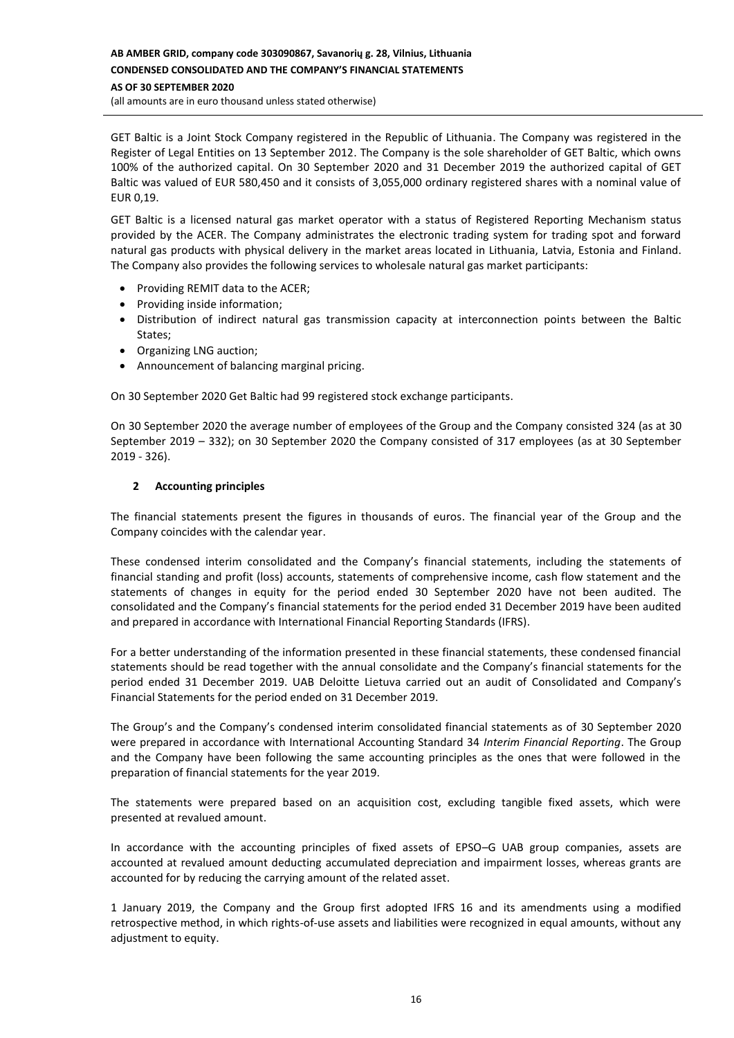# **AB AMBER GRID, company code 303090867, Savanorių g. 28, Vilnius, Lithuania CONDENSED CONSOLIDATED AND THE COMPANY'S FINANCIAL STATEMENTS AS OF 30 SEPTEMBER 2020**

(all amounts are in euro thousand unless stated otherwise)

GET Baltic is a Joint Stock Company registered in the Republic of Lithuania. The Company was registered in the Register of Legal Entities on 13 September 2012. The Company is the sole shareholder of GET Baltic, which owns 100% of the authorized capital. On 30 September 2020 and 31 December 2019 the authorized capital of GET Baltic was valued of EUR 580,450 and it consists of 3,055,000 ordinary registered shares with a nominal value of EUR 0,19.

GET Baltic is a licensed natural gas market operator with a status of Registered Reporting Mechanism status provided by the ACER. The Company administrates the electronic trading system for trading spot and forward natural gas products with physical delivery in the market areas located in Lithuania, Latvia, Estonia and Finland. The Company also provides the following services to wholesale natural gas market participants:

- Providing REMIT data to the ACER;
- Providing inside information;
- Distribution of indirect natural gas transmission capacity at interconnection points between the Baltic States;
- Organizing LNG auction;
- Announcement of balancing marginal pricing.

On 30 September 2020 Get Baltic had 99 registered stock exchange participants.

On 30 September 2020 the average number of employees of the Group and the Company consisted 324 (as at 30 September 2019 – 332); on 30 September 2020 the Company consisted of 317 employees (as at 30 September 2019 - 326).

## **2 Accounting principles**

The financial statements present the figures in thousands of euros. The financial year of the Group and the Company coincides with the calendar year.

These condensed interim consolidated and the Company's financial statements, including the statements of financial standing and profit (loss) accounts, statements of comprehensive income, cash flow statement and the statements of changes in equity for the period ended 30 September 2020 have not been audited. The consolidated and the Company's financial statements for the period ended 31 December 2019 have been audited and prepared in accordance with International Financial Reporting Standards (IFRS).

For a better understanding of the information presented in these financial statements, these condensed financial statements should be read together with the annual consolidate and the Company's financial statements for the period ended 31 December 2019. UAB Deloitte Lietuva carried out an audit of Consolidated and Company's Financial Statements for the period ended on 31 December 2019.

The Group's and the Company's condensed interim consolidated financial statements as of 30 September 2020 were prepared in accordance with International Accounting Standard 34 *Interim Financial Reporting*. The Group and the Company have been following the same accounting principles as the ones that were followed in the preparation of financial statements for the year 2019.

The statements were prepared based on an acquisition cost, excluding tangible fixed assets, which were presented at revalued amount.

In accordance with the accounting principles of fixed assets of EPSO–G UAB group companies, assets are accounted at revalued amount deducting accumulated depreciation and impairment losses, whereas grants are accounted for by reducing the carrying amount of the related asset.

1 January 2019, the Company and the Group first adopted IFRS 16 and its amendments using a modified retrospective method, in which rights-of-use assets and liabilities were recognized in equal amounts, without any adjustment to equity.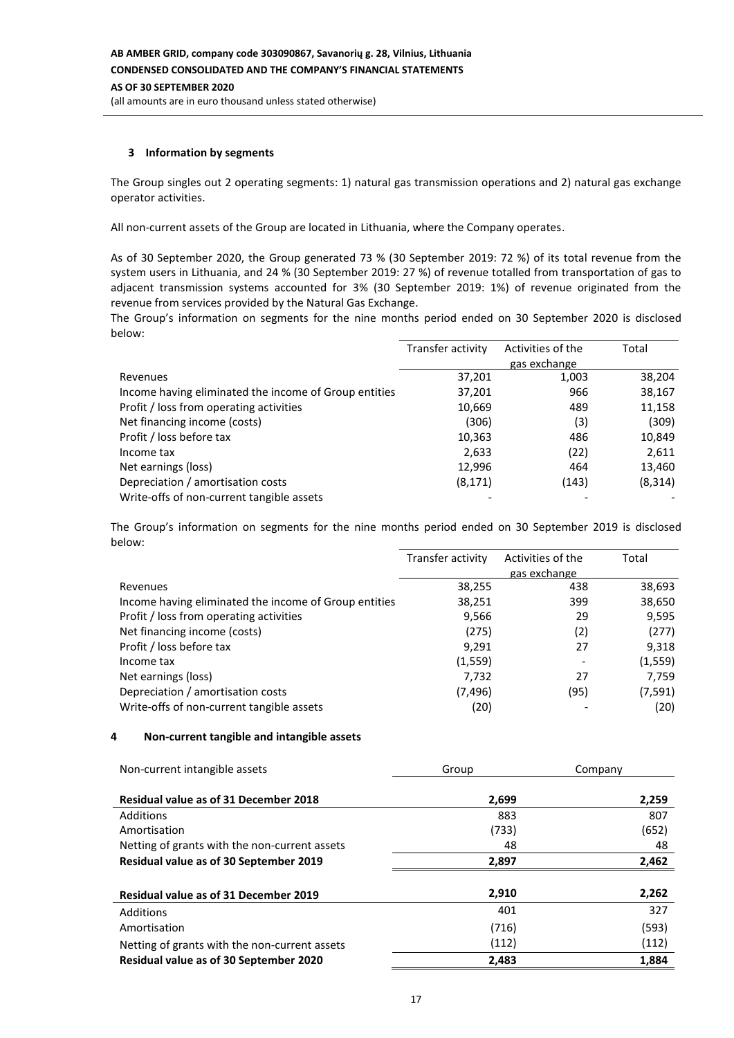## **3 Information by segments**

The Group singles out 2 operating segments: 1) natural gas transmission operations and 2) natural gas exchange operator activities.

All non-current assets of the Group are located in Lithuania, where the Company operates.

As of 30 September 2020, the Group generated 73 % (30 September 2019: 72 %) of its total revenue from the system users in Lithuania, and 24 % (30 September 2019: 27 %) of revenue totalled from transportation of gas to adjacent transmission systems accounted for 3% (30 September 2019: 1%) of revenue originated from the revenue from services provided by the Natural Gas Exchange.

The Group's information on segments for the nine months period ended on 30 September 2020 is disclosed below:

|                                                       | Transfer activity | Activities of the | Total    |
|-------------------------------------------------------|-------------------|-------------------|----------|
|                                                       |                   | gas exchange      |          |
| Revenues                                              | 37,201            | 1,003             | 38,204   |
| Income having eliminated the income of Group entities | 37,201            | 966               | 38,167   |
| Profit / loss from operating activities               | 10,669            | 489               | 11,158   |
| Net financing income (costs)                          | (306)             | (3)               | (309)    |
| Profit / loss before tax                              | 10,363            | 486               | 10,849   |
| Income tax                                            | 2,633             | (22)              | 2,611    |
| Net earnings (loss)                                   | 12,996            | 464               | 13,460   |
| Depreciation / amortisation costs                     | (8, 171)          | (143)             | (8, 314) |
| Write-offs of non-current tangible assets             |                   |                   |          |

The Group's information on segments for the nine months period ended on 30 September 2019 is disclosed below:

|                                                       | Transfer activity | Activities of the | Total    |
|-------------------------------------------------------|-------------------|-------------------|----------|
|                                                       |                   | gas exchange      |          |
| Revenues                                              | 38,255            | 438               | 38,693   |
| Income having eliminated the income of Group entities | 38,251            | 399               | 38,650   |
| Profit / loss from operating activities               | 9,566             | 29                | 9,595    |
| Net financing income (costs)                          | (275)             | (2)               | (277)    |
| Profit / loss before tax                              | 9,291             | 27                | 9,318    |
| Income tax                                            | (1, 559)          |                   | (1, 559) |
| Net earnings (loss)                                   | 7,732             | 27                | 7,759    |
| Depreciation / amortisation costs                     | (7, 496)          | (95)              | (7, 591) |
| Write-offs of non-current tangible assets             | (20)              |                   | (20)     |

#### **4 Non-current tangible and intangible assets**

| Non-current intangible assets                 | Group | Company |
|-----------------------------------------------|-------|---------|
| <b>Residual value as of 31 December 2018</b>  | 2,699 | 2,259   |
| Additions                                     | 883   | 807     |
| Amortisation                                  | (733) | (652)   |
| Netting of grants with the non-current assets | 48    | 48      |
| <b>Residual value as of 30 September 2019</b> | 2,897 | 2,462   |
|                                               |       |         |
| <b>Residual value as of 31 December 2019</b>  | 2,910 | 2,262   |
| Additions                                     | 401   | 327     |
| Amortisation                                  | (716) | (593)   |
| Netting of grants with the non-current assets | (112) | (112)   |
| <b>Residual value as of 30 September 2020</b> | 2,483 | 1,884   |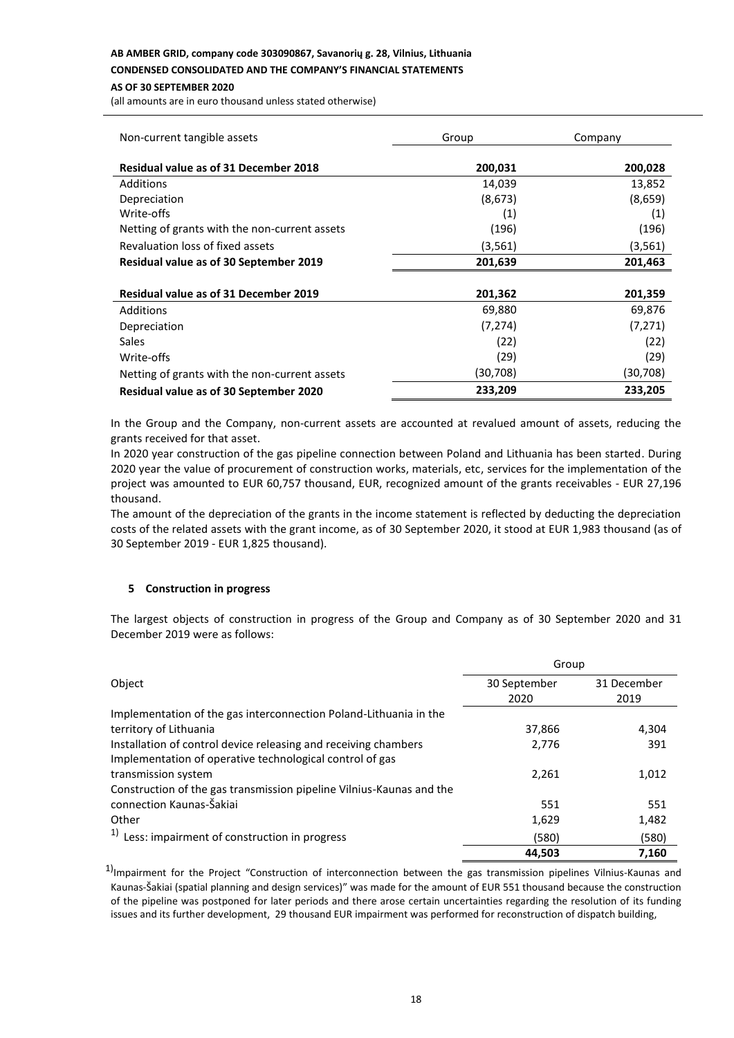#### **AB AMBER GRID, company code 303090867, Savanorių g. 28, Vilnius, Lithuania**

**CONDENSED CONSOLIDATED AND THE COMPANY'S FINANCIAL STATEMENTS**

#### **AS OF 30 SEPTEMBER 2020**

(all amounts are in euro thousand unless stated otherwise)

| Non-current tangible assets                   | Group    | Company  |
|-----------------------------------------------|----------|----------|
| <b>Residual value as of 31 December 2018</b>  | 200,031  | 200,028  |
| Additions                                     | 14,039   | 13,852   |
| Depreciation                                  | (8,673)  | (8,659)  |
| Write-offs                                    | (1)      | (1)      |
| Netting of grants with the non-current assets | (196)    | (196)    |
| Revaluation loss of fixed assets              | (3,561)  | (3,561)  |
| Residual value as of 30 September 2019        | 201,639  | 201,463  |
| <b>Residual value as of 31 December 2019</b>  | 201,362  | 201,359  |
| Additions                                     | 69,880   | 69,876   |
| Depreciation                                  | (7, 274) | (7, 271) |
| <b>Sales</b>                                  | (22)     | (22)     |
| Write-offs                                    | (29)     | (29)     |
| Netting of grants with the non-current assets | (30,708) | (30,708) |
| Residual value as of 30 September 2020        | 233,209  | 233,205  |

In the Group and the Company, non-current assets are accounted at revalued amount of assets, reducing the grants received for that asset.

In 2020 year construction of the gas pipeline connection between Poland and Lithuania has been started. During 2020 year the value of procurement of construction works, materials, etc, services for the implementation of the project was amounted to EUR 60,757 thousand, EUR, recognized amount of the grants receivables - EUR 27,196 thousand.

The amount of the depreciation of the grants in the income statement is reflected by deducting the depreciation costs of the related assets with the grant income, as of 30 September 2020, it stood at EUR 1,983 thousand (as of 30 September 2019 - EUR 1,825 thousand).

## **5 Construction in progress**

The largest objects of construction in progress of the Group and Company as of 30 September 2020 and 31 December 2019 were as follows:

|                                                                      | Group        |             |  |
|----------------------------------------------------------------------|--------------|-------------|--|
| Object                                                               | 30 September | 31 December |  |
|                                                                      | 2020         | 2019        |  |
| Implementation of the gas interconnection Poland-Lithuania in the    |              |             |  |
| territory of Lithuania                                               | 37,866       | 4,304       |  |
| Installation of control device releasing and receiving chambers      | 2,776        | 391         |  |
| Implementation of operative technological control of gas             |              |             |  |
| transmission system                                                  | 2,261        | 1,012       |  |
| Construction of the gas transmission pipeline Vilnius-Kaunas and the |              |             |  |
| connection Kaunas-Šakiai                                             | 551          | 551         |  |
| Other                                                                | 1,629        | 1,482       |  |
| $1)$ Less: impairment of construction in progress                    | (580)        | (580)       |  |
|                                                                      | 44,503       | 7,160       |  |

 $1$ Impairment for the Project "Construction of interconnection between the gas transmission pipelines Vilnius-Kaunas and Kaunas-Šakiai (spatial planning and design services)" was made for the amount of EUR 551 thousand because the construction of the pipeline was postponed for later periods and there arose certain uncertainties regarding the resolution of its funding issues and its further development, 29 thousand EUR impairment was performed for reconstruction of dispatch building,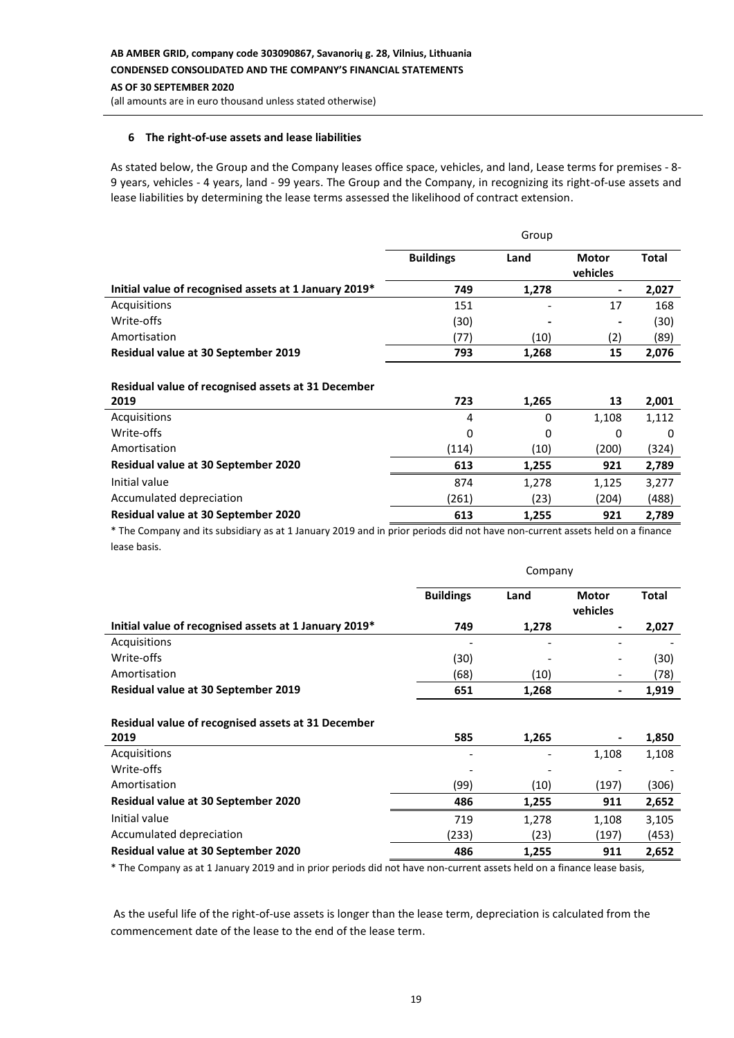# (all amounts are in euro thousand unless stated otherwise)

#### **6 The right-of-use assets and lease liabilities**

As stated below, the Group and the Company leases office space, vehicles, and land, Lease terms for premises - 8- 9 years, vehicles - 4 years, land - 99 years. The Group and the Company, in recognizing its right-of-use assets and lease liabilities by determining the lease terms assessed the likelihood of contract extension.

| Group            |                              |                              |              |
|------------------|------------------------------|------------------------------|--------------|
| <b>Buildings</b> | Land                         | <b>Motor</b><br>vehicles     | <b>Total</b> |
| 749              | 1,278                        | $\overline{\phantom{0}}$     | 2,027        |
| 151              | -                            | 17                           | 168          |
| (30)             | $\qquad \qquad \blacksquare$ | $\qquad \qquad \blacksquare$ | (30)         |
| (77)             | (10)                         | (2)                          | (89)         |
| 793              | 1,268                        | 15                           | 2,076        |
|                  |                              |                              |              |

# **Residual value of recognised assets at 31 December**

| 2019                                       | 723   | 1,265 | 13    | 2,001 |
|--------------------------------------------|-------|-------|-------|-------|
| Acquisitions                               | 4     | 0     | 1,108 | 1,112 |
| Write-offs                                 | 0     | 0     | 0     | 0     |
| Amortisation                               | (114) | (10)  | (200) | (324) |
| <b>Residual value at 30 September 2020</b> | 613   | 1.255 | 921   | 2,789 |
| Initial value                              | 874   | 1,278 | 1,125 | 3,277 |
| Accumulated depreciation                   | (261) | (23)  | (204) | (488) |
| <b>Residual value at 30 September 2020</b> | 613   | 1,255 | 921   | 2,789 |

\* The Company and its subsidiary as at 1 January 2019 and in prior periods did not have non-current assets held on a finance lease basis.

|                                                       | Company          |       |                          |              |
|-------------------------------------------------------|------------------|-------|--------------------------|--------------|
|                                                       | <b>Buildings</b> | Land  | <b>Motor</b><br>vehicles | <b>Total</b> |
| Initial value of recognised assets at 1 January 2019* | 749              | 1,278 |                          | 2,027        |
| Acquisitions                                          |                  |       |                          |              |
| Write-offs                                            | (30)             |       |                          | (30)         |
| Amortisation                                          | (68)             | (10)  |                          | (78)         |
| Residual value at 30 September 2019                   | 651              | 1,268 |                          | 1,919        |
| Residual value of recognised assets at 31 December    |                  |       |                          |              |
| 2019<br>Acquisitions                                  | 585              | 1,265 | 1,108                    | 1,850        |
| Write-offs                                            |                  |       |                          | 1,108        |
| Amortisation                                          | (99)             | (10)  | (197)                    | (306)        |
| Residual value at 30 September 2020                   | 486              | 1,255 | 911                      | 2,652        |
| Initial value                                         | 719              | 1,278 | 1,108                    | 3,105        |
| Accumulated depreciation                              | (233)            | (23)  | (197)                    | (453)        |
| Residual value at 30 September 2020                   | 486              | 1,255 | 911                      | 2,652        |

\* The Company as at 1 January 2019 and in prior periods did not have non-current assets held on a finance lease basis,

As the useful life of the right-of-use assets is longer than the lease term, depreciation is calculated from the commencement date of the lease to the end of the lease term.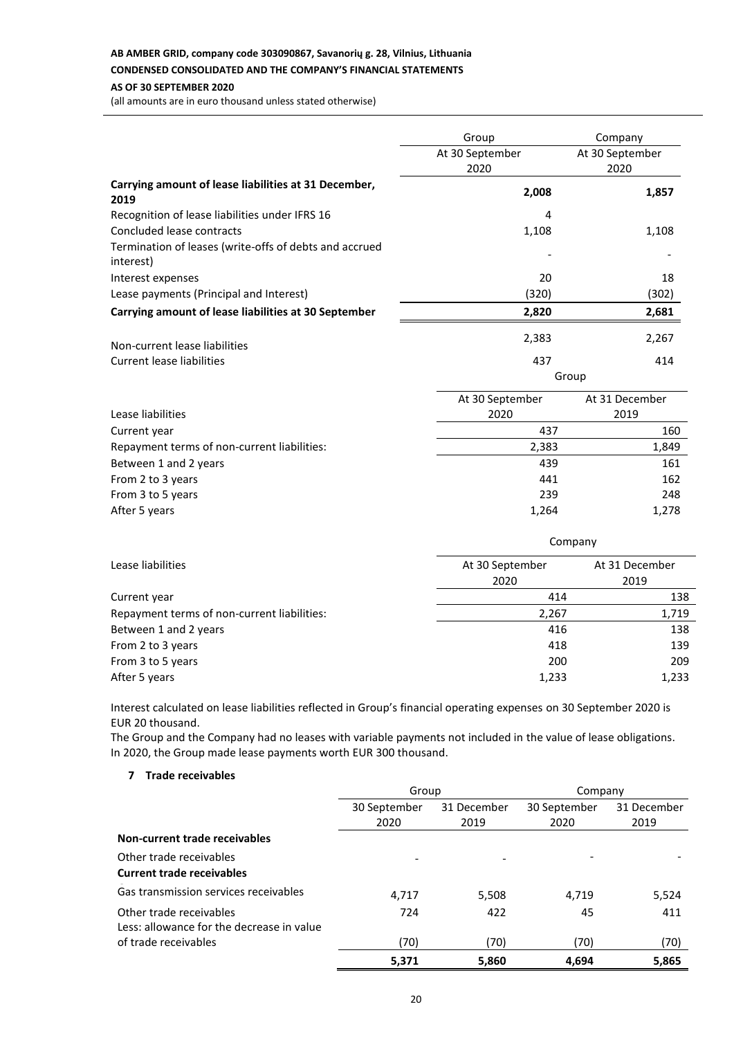# **AB AMBER GRID, company code 303090867, Savanorių g. 28, Vilnius, Lithuania**

## **CONDENSED CONSOLIDATED AND THE COMPANY'S FINANCIAL STATEMENTS**

## **AS OF 30 SEPTEMBER 2020**

(all amounts are in euro thousand unless stated otherwise)

|                                                                     | Group           | Company         |
|---------------------------------------------------------------------|-----------------|-----------------|
|                                                                     | At 30 September | At 30 September |
|                                                                     | 2020            | 2020            |
| Carrying amount of lease liabilities at 31 December,<br>2019        | 2,008           | 1,857           |
| Recognition of lease liabilities under IFRS 16                      | 4               |                 |
| Concluded lease contracts                                           | 1,108           | 1,108           |
| Termination of leases (write-offs of debts and accrued<br>interest) |                 |                 |
| Interest expenses                                                   | 20              | 18              |
| Lease payments (Principal and Interest)                             | (320)           | (302)           |
| Carrying amount of lease liabilities at 30 September                | 2,820           | 2,681           |
| Non-current lease liabilities                                       | 2,383           | 2,267           |
| Current lease liabilities                                           | 437             | 414             |
|                                                                     |                 | Group           |

|                                             | At 30 September | At 31 December |
|---------------------------------------------|-----------------|----------------|
| Lease liabilities                           | 2020            | 2019           |
| Current year                                | 437             | 160            |
| Repayment terms of non-current liabilities: | 2,383           | 1,849          |
| Between 1 and 2 years                       | 439             | 161            |
| From 2 to 3 years                           | 441             | 162            |
| From 3 to 5 years                           | 239             | 248            |
| After 5 years                               | 1,264           | 1,278          |

|                                             | Company         |                |  |  |
|---------------------------------------------|-----------------|----------------|--|--|
| Lease liabilities                           | At 30 September | At 31 December |  |  |
|                                             | 2020            | 2019           |  |  |
| Current year                                | 414<br>138      |                |  |  |
| Repayment terms of non-current liabilities: | 2,267           | 1,719          |  |  |
| Between 1 and 2 years                       | 416             | 138            |  |  |
| From 2 to 3 years                           | 418             | 139            |  |  |
| From 3 to 5 years                           | 200             | 209            |  |  |
| After 5 years                               | 1,233<br>1,233  |                |  |  |

Interest calculated on lease liabilities reflected in Group's financial operating expenses on 30 September 2020 is EUR 20 thousand.

The Group and the Company had no leases with variable payments not included in the value of lease obligations. In 2020, the Group made lease payments worth EUR 300 thousand.

# **7 Trade receivables**

|                                           | Group        |             | Company      |             |
|-------------------------------------------|--------------|-------------|--------------|-------------|
|                                           | 30 September | 31 December | 30 September | 31 December |
|                                           | 2020         | 2019        | 2020         | 2019        |
| Non-current trade receivables             |              |             |              |             |
| Other trade receivables                   |              |             |              |             |
| <b>Current trade receivables</b>          |              |             |              |             |
| Gas transmission services receivables     | 4.717        | 5,508       | 4.719        | 5,524       |
| Other trade receivables                   | 724          | 422         | 45           | 411         |
| Less: allowance for the decrease in value |              |             |              |             |
| of trade receivables                      | (70)         | (70)        | (70)         | (70)        |
|                                           | 5,371        | 5,860       | 4.694        | 5,865       |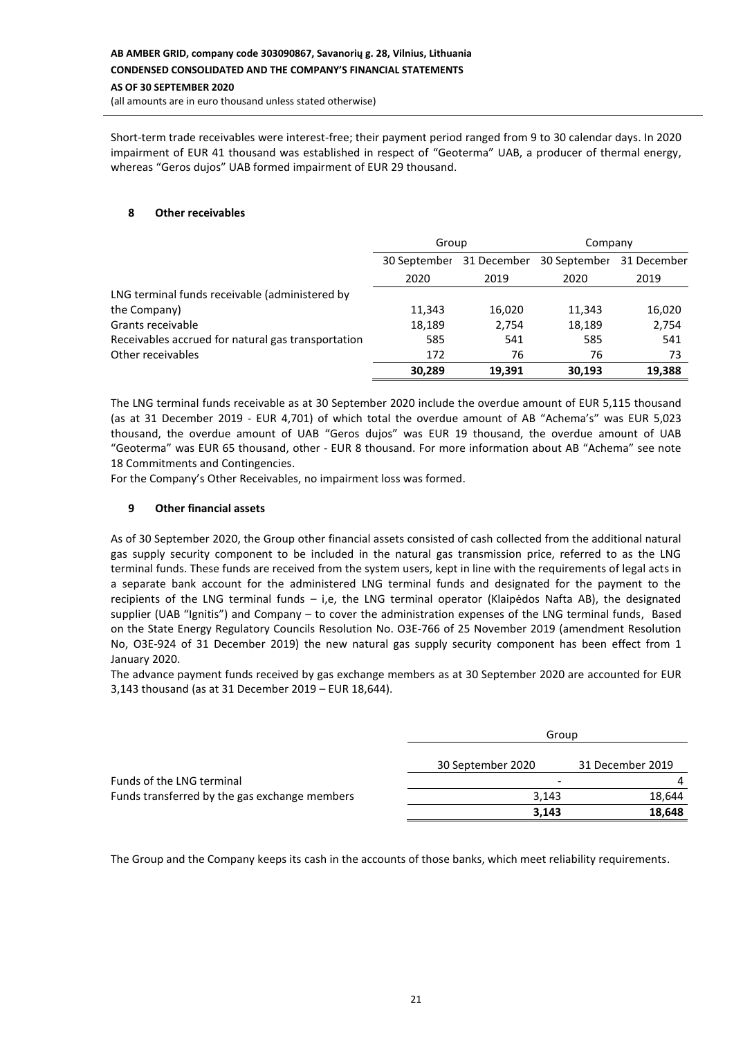(all amounts are in euro thousand unless stated otherwise)

Short-term trade receivables were interest-free; their payment period ranged from 9 to 30 calendar days. In 2020 impairment of EUR 41 thousand was established in respect of "Geoterma" UAB, a producer of thermal energy, whereas "Geros dujos" UAB formed impairment of EUR 29 thousand.

## **8 Other receivables**

|                                                    | Group        |             | Company      |             |
|----------------------------------------------------|--------------|-------------|--------------|-------------|
|                                                    | 30 September | 31 December | 30 September | 31 December |
|                                                    | 2020         | 2019        | 2020         | 2019        |
| LNG terminal funds receivable (administered by     |              |             |              |             |
| the Company)                                       | 11,343       | 16,020      | 11,343       | 16,020      |
| Grants receivable                                  | 18,189       | 2,754       | 18,189       | 2,754       |
| Receivables accrued for natural gas transportation | 585          | 541         | 585          | 541         |
| Other receivables                                  | 172          | 76          | 76           | 73          |
|                                                    | 30,289       | 19,391      | 30,193       | 19,388      |

The LNG terminal funds receivable as at 30 September 2020 include the overdue amount of EUR 5,115 thousand (as at 31 December 2019 - EUR 4,701) of which total the overdue amount of AB "Achema's" was EUR 5,023 thousand, the overdue amount of UAB "Geros dujos" was EUR 19 thousand, the overdue amount of UAB "Geoterma" was EUR 65 thousand, other - EUR 8 thousand. For more information about AB "Achema" see note 18 Commitments and Contingencies.

For the Company's Other Receivables, no impairment loss was formed.

## **9 Other financial assets**

As of 30 September 2020, the Group other financial assets consisted of cash collected from the additional natural gas supply security component to be included in the natural gas transmission price, referred to as the LNG terminal funds. These funds are received from the system users, kept in line with the requirements of legal acts in a separate bank account for the administered LNG terminal funds and designated for the payment to the recipients of the LNG terminal funds – i,e, the LNG terminal operator (Klaipėdos Nafta AB), the designated supplier (UAB "Ignitis") and Company – to cover the administration expenses of the LNG terminal funds, Based on the State Energy Regulatory Councils Resolution No. O3E-766 of 25 November 2019 (amendment Resolution No, O3E-924 of 31 December 2019) the new natural gas supply security component has been effect from 1 January 2020.

The advance payment funds received by gas exchange members as at 30 September 2020 are accounted for EUR 3,143 thousand (as at 31 December 2019 – EUR 18,644).

|                                               | Group             |                  |  |
|-----------------------------------------------|-------------------|------------------|--|
|                                               | 30 September 2020 | 31 December 2019 |  |
| Funds of the LNG terminal                     | -                 | $\overline{a}$   |  |
| Funds transferred by the gas exchange members | 3.143             | 18.644           |  |
|                                               | 3,143             | 18,648           |  |

The Group and the Company keeps its cash in the accounts of those banks, which meet reliability requirements.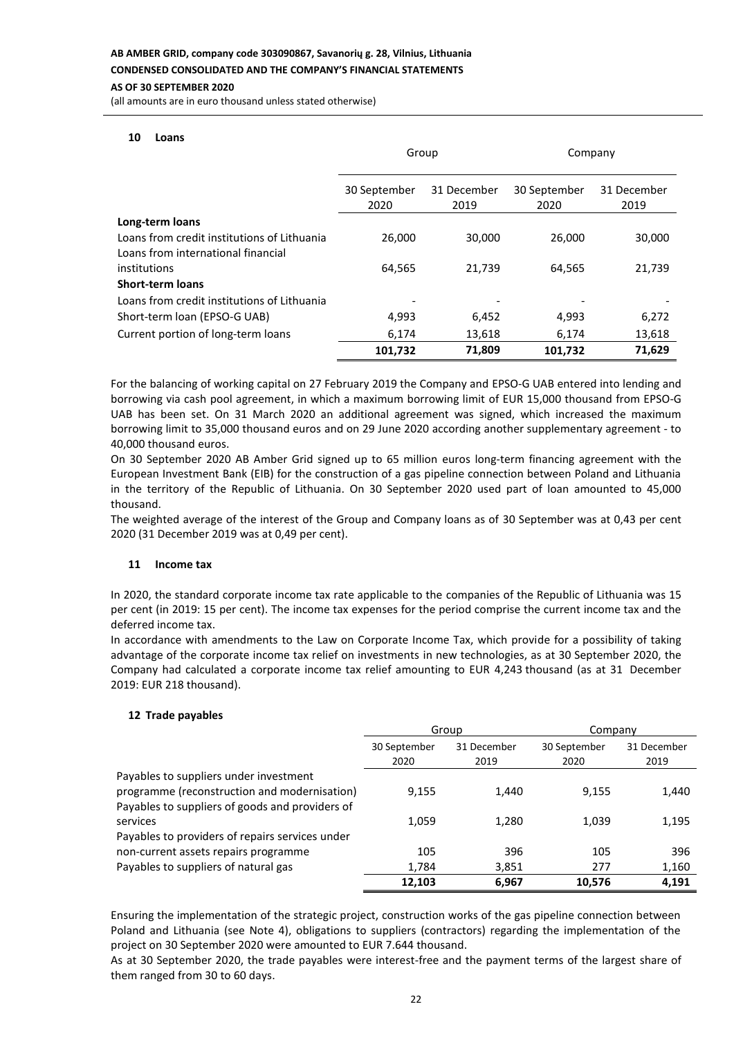#### **AS OF 30 SEPTEMBER 2020**

(all amounts are in euro thousand unless stated otherwise)

#### **10 Loans**

|                                                                                   | Group                |                     | Company              |                     |
|-----------------------------------------------------------------------------------|----------------------|---------------------|----------------------|---------------------|
|                                                                                   | 30 September<br>2020 | 31 December<br>2019 | 30 September<br>2020 | 31 December<br>2019 |
| Long-term loans                                                                   |                      |                     |                      |                     |
| Loans from credit institutions of Lithuania<br>Loans from international financial | 26,000               | 30,000              | 26,000               | 30,000              |
| institutions                                                                      | 64.565               | 21,739              | 64,565               | 21,739              |
| <b>Short-term loans</b>                                                           |                      |                     |                      |                     |
| Loans from credit institutions of Lithuania                                       |                      |                     |                      |                     |
| Short-term loan (EPSO-G UAB)                                                      | 4,993                | 6,452               | 4,993                | 6,272               |
| Current portion of long-term loans                                                | 6,174                | 13,618              | 6,174                | 13,618              |
|                                                                                   | 101,732              | 71,809              | 101,732              | 71.629              |

For the balancing of working capital on 27 February 2019 the Company and EPSO-G UAB entered into lending and borrowing via cash pool agreement, in which a maximum borrowing limit of EUR 15,000 thousand from EPSO-G UAB has been set. On 31 March 2020 an additional agreement was signed, which increased the maximum borrowing limit to 35,000 thousand euros and on 29 June 2020 according another supplementary agreement - to 40,000 thousand euros.

On 30 September 2020 AB Amber Grid signed up to 65 million euros long-term financing agreement with the European Investment Bank (EIB) for the construction of a gas pipeline connection between Poland and Lithuania in the territory of the Republic of Lithuania. On 30 September 2020 used part of loan amounted to 45,000 thousand.

The weighted average of the interest of the Group and Company loans as of 30 September was at 0,43 per cent 2020 (31 December 2019 was at 0,49 per cent).

## **11 Income tax**

In 2020, the standard corporate income tax rate applicable to the companies of the Republic of Lithuania was 15 per cent (in 2019: 15 per cent). The income tax expenses for the period comprise the current income tax and the deferred income tax.

In accordance with amendments to the Law on Corporate Income Tax, which provide for a possibility of taking advantage of the corporate income tax relief on investments in new technologies, as at 30 September 2020, the Company had calculated a corporate income tax relief amounting to EUR 4,243 thousand (as at 31 December 2019: EUR 218 thousand).

## **12 Trade payables**

|                                                 | Group                |                     | Company              |                     |
|-------------------------------------------------|----------------------|---------------------|----------------------|---------------------|
|                                                 | 30 September<br>2020 | 31 December<br>2019 | 30 September<br>2020 | 31 December<br>2019 |
| Payables to suppliers under investment          |                      |                     |                      |                     |
| programme (reconstruction and modernisation)    | 9,155                | 1,440               | 9,155                | 1,440               |
| Payables to suppliers of goods and providers of |                      |                     |                      |                     |
| services                                        | 1,059                | 1,280               | 1,039                | 1,195               |
| Payables to providers of repairs services under |                      |                     |                      |                     |
| non-current assets repairs programme            | 105                  | 396                 | 105                  | 396                 |
| Payables to suppliers of natural gas            | 1,784                | 3,851               | 277                  | 1,160               |
|                                                 | 12,103               | 6,967               | 10,576               | 4,191               |

Ensuring the implementation of the strategic project, construction works of the gas pipeline connection between Poland and Lithuania (see Note 4), obligations to suppliers (contractors) regarding the implementation of the project on 30 September 2020 were amounted to EUR 7.644 thousand.

As at 30 September 2020, the trade payables were interest-free and the payment terms of the largest share of them ranged from 30 to 60 days.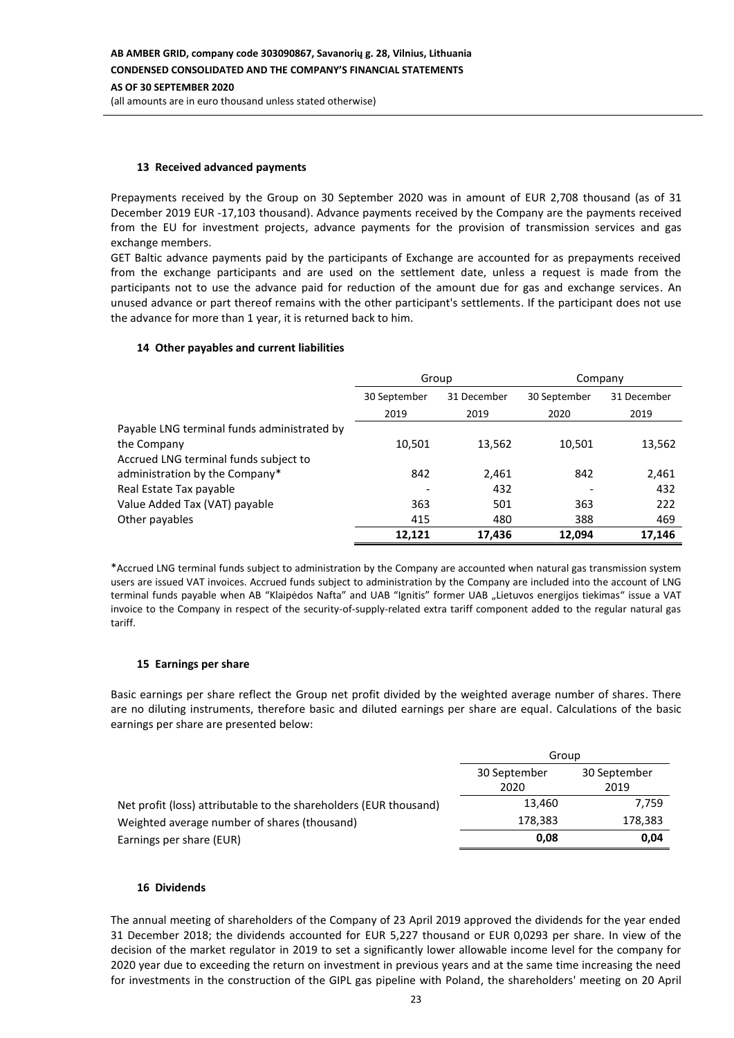#### **13 Received advanced payments**

Prepayments received by the Group on 30 September 2020 was in amount of EUR 2,708 thousand (as of 31 December 2019 EUR -17,103 thousand). Advance payments received by the Company are the payments received from the EU for investment projects, advance payments for the provision of transmission services and gas exchange members.

GET Baltic advance payments paid by the participants of Exchange are accounted for as prepayments received from the exchange participants and are used on the settlement date, unless a request is made from the participants not to use the advance paid for reduction of the amount due for gas and exchange services. An unused advance or part thereof remains with the other participant's settlements. If the participant does not use the advance for more than 1 year, it is returned back to him.

## **14 Other payables and current liabilities**

|                                             | Group                       |        | Company      |             |  |
|---------------------------------------------|-----------------------------|--------|--------------|-------------|--|
|                                             | 30 September<br>31 December |        | 30 September | 31 December |  |
|                                             | 2019                        | 2019   | 2020         | 2019        |  |
| Payable LNG terminal funds administrated by |                             |        |              |             |  |
| the Company                                 | 10,501                      | 13,562 | 10,501       | 13,562      |  |
| Accrued LNG terminal funds subject to       |                             |        |              |             |  |
| administration by the Company*              | 842                         | 2,461  | 842          | 2,461       |  |
| Real Estate Tax payable                     |                             | 432    |              | 432         |  |
| Value Added Tax (VAT) payable               | 363                         | 501    | 363          | 222         |  |
| Other payables                              | 415                         | 480    | 388          | 469         |  |
|                                             | 12.121                      | 17,436 | 12.094       | 17.146      |  |

\*Accrued LNG terminal funds subject to administration by the Company are accounted when natural gas transmission system users are issued VAT invoices. Accrued funds subject to administration by the Company are included into the account of LNG terminal funds payable when AB "Klaipėdos Nafta" and UAB "Ignitis" former UAB "Lietuvos energijos tiekimas" issue a VAT invoice to the Company in respect of the security-of-supply-related extra tariff component added to the regular natural gas tariff.

## **15 Earnings per share**

Basic earnings per share reflect the Group net profit divided by the weighted average number of shares. There are no diluting instruments, therefore basic and diluted earnings per share are equal. Calculations of the basic earnings per share are presented below:

|                                                                   | Group                |                      |  |  |
|-------------------------------------------------------------------|----------------------|----------------------|--|--|
|                                                                   | 30 September<br>2020 | 30 September<br>2019 |  |  |
| Net profit (loss) attributable to the shareholders (EUR thousand) | 13,460               | 7,759                |  |  |
| Weighted average number of shares (thousand)                      | 178,383              | 178,383              |  |  |
| Earnings per share (EUR)                                          | 0.08                 | 0,04                 |  |  |

## **16 Dividends**

The annual meeting of shareholders of the Company of 23 April 2019 approved the dividends for the year ended 31 December 2018; the dividends accounted for EUR 5,227 thousand or EUR 0,0293 per share. In view of the decision of the market regulator in 2019 to set a significantly lower allowable income level for the company for 2020 year due to exceeding the return on investment in previous years and at the same time increasing the need for investments in the construction of the GIPL gas pipeline with Poland, the shareholders' meeting on 20 April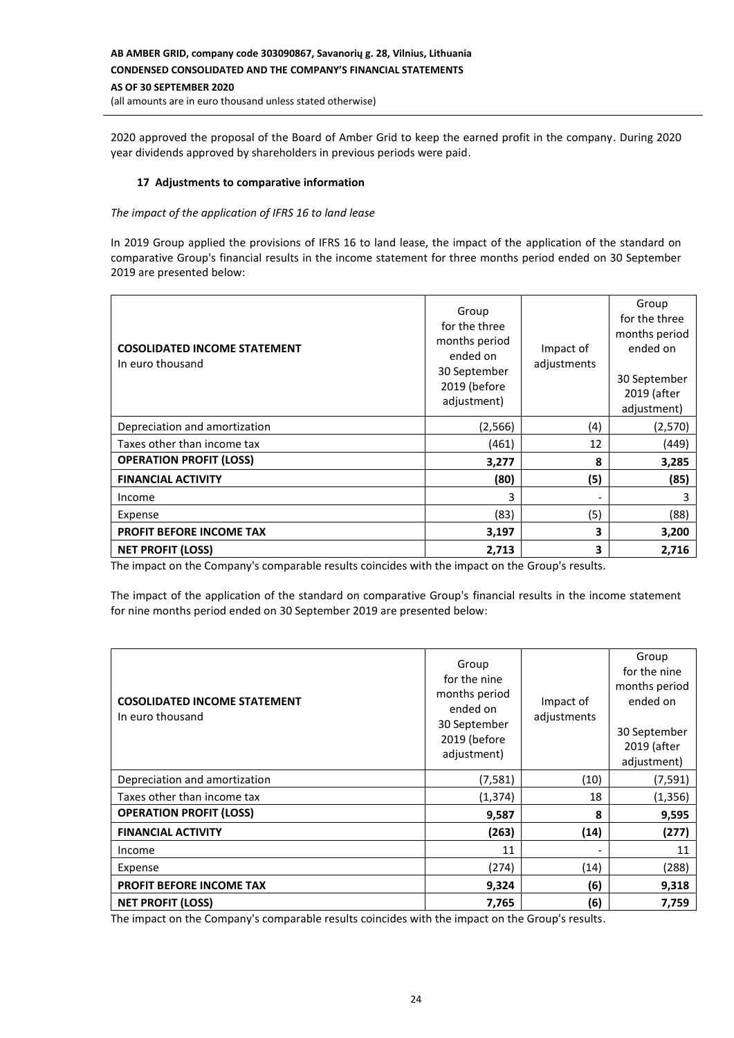# **AB AMBER GRID, company code 303090867, Savanorių g. 28, Vilnius, Lithuania CONDENSED CONSOLIDATED AND THE COMPANY'S FINANCIAL STATEMENTS AS OF 30 SEPTEMBER 2020**

(all amounts are in euro thousand unless stated otherwise)

2020 approved the proposal of the Board of Amber Grid to keep the earned profit in the company. During 2020 year dividends approved by shareholders in previous periods were paid.

# **17 Adjustments to comparative information**

#### *The impact of the application of IFRS 16 to land lease*

In 2019 Group applied the provisions of IFRS 16 to land lease, the impact of the application of the standard on comparative Group's financial results in the income statement for three months period ended on 30 September 2019 are presented below:

| <b>COSOLIDATED INCOME STATEMENT</b><br>In euro thousand | Group<br>for the three<br>months period<br>ended on<br>30 September<br>2019 (before<br>adjustment) | Impact of<br>adjustments | Group<br>for the three<br>months period<br>ended on<br>30 September<br>2019 (after<br>adjustment) |
|---------------------------------------------------------|----------------------------------------------------------------------------------------------------|--------------------------|---------------------------------------------------------------------------------------------------|
| Depreciation and amortization                           | (2, 566)                                                                                           | (4)                      | (2,570)                                                                                           |
| Taxes other than income tax                             | (461)                                                                                              | 12                       | (449)                                                                                             |
| <b>OPERATION PROFIT (LOSS)</b>                          | 3,277                                                                                              | 8                        | 3,285                                                                                             |
| <b>FINANCIAL ACTIVITY</b>                               | (80)                                                                                               | (5)                      | (85)                                                                                              |
| Income                                                  | 3                                                                                                  | $\overline{\phantom{a}}$ | 3                                                                                                 |
| Expense                                                 | (83)                                                                                               | (5)                      | (88)                                                                                              |
| <b>PROFIT BEFORE INCOME TAX</b>                         | 3,197                                                                                              | 3                        | 3,200                                                                                             |
| <b>NET PROFIT (LOSS)</b>                                | 2,713                                                                                              | 3                        | 2,716                                                                                             |

The impact on the Company's comparable results coincides with the impact on the Group's results.

The impact of the application of the standard on comparative Group's financial results in the income statement for nine months period ended on 30 September 2019 are presented below:

| <b>COSOLIDATED INCOME STATEMENT</b><br>In euro thousand | Group<br>for the nine<br>months period<br>ended on<br>30 September<br>2019 (before<br>adjustment) | Impact of<br>adjustments | Group<br>for the nine<br>months period<br>ended on<br>30 September<br>2019 (after<br>adjustment) |
|---------------------------------------------------------|---------------------------------------------------------------------------------------------------|--------------------------|--------------------------------------------------------------------------------------------------|
| Depreciation and amortization                           | (7, 581)                                                                                          | (10)                     | (7, 591)                                                                                         |
| Taxes other than income tax                             | (1, 374)                                                                                          | 18                       | (1,356)                                                                                          |
| <b>OPERATION PROFIT (LOSS)</b>                          | 9,587                                                                                             | 8                        | 9,595                                                                                            |
| <b>FINANCIAL ACTIVITY</b>                               | (263)                                                                                             | (14)                     | (277)                                                                                            |
| Income                                                  | 11                                                                                                | $\overline{\phantom{a}}$ | 11                                                                                               |
| Expense                                                 | (274)                                                                                             | (14)                     | (288)                                                                                            |
| PROFIT BEFORE INCOME TAX                                | 9,324                                                                                             | (6)                      | 9,318                                                                                            |
| <b>NET PROFIT (LOSS)</b>                                | 7,765                                                                                             | (6)                      | 7,759                                                                                            |

The impact on the Company's comparable results coincides with the impact on the Group's results.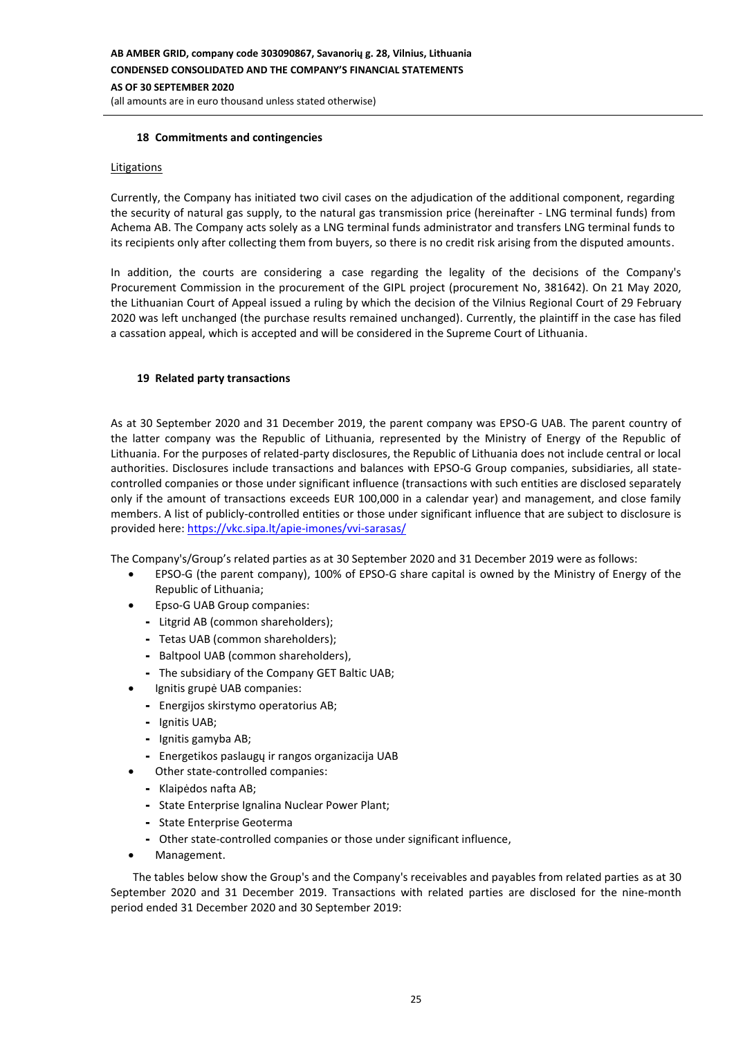## **18 Commitments and contingencies**

#### **Litigations**

Currently, the Company has initiated two civil cases on the adjudication of the additional component, regarding the security of natural gas supply, to the natural gas transmission price (hereinafter - LNG terminal funds) from Achema AB. The Company acts solely as a LNG terminal funds administrator and transfers LNG terminal funds to its recipients only after collecting them from buyers, so there is no credit risk arising from the disputed amounts.

In addition, the courts are considering a case regarding the legality of the decisions of the Company's Procurement Commission in the procurement of the GIPL project (procurement No, 381642). On 21 May 2020, the Lithuanian Court of Appeal issued a ruling by which the decision of the Vilnius Regional Court of 29 February 2020 was left unchanged (the purchase results remained unchanged). Currently, the plaintiff in the case has filed a cassation appeal, which is accepted and will be considered in the Supreme Court of Lithuania.

#### **19 Related party transactions**

As at 30 September 2020 and 31 December 2019, the parent company was EPSO-G UAB. The parent country of the latter company was the Republic of Lithuania, represented by the Ministry of Energy of the Republic of Lithuania. For the purposes of related-party disclosures, the Republic of Lithuania does not include central or local authorities. Disclosures include transactions and balances with EPSO-G Group companies, subsidiaries, all statecontrolled companies or those under significant influence (transactions with such entities are disclosed separately only if the amount of transactions exceeds EUR 100,000 in a calendar year) and management, and close family members. A list of publicly-controlled entities or those under significant influence that are subject to disclosure is provided here:<https://vkc.sipa.lt/apie-imones/vvi-sarasas/>

The Company's/Group's related parties as at 30 September 2020 and 31 December 2019 were as follows:

- EPSO-G (the parent company), 100% of EPSO-G share capital is owned by the Ministry of Energy of the Republic of Lithuania;
- Epso-G UAB Group companies:
	- Litgrid AB (common shareholders);
	- Tetas UAB (common shareholders);
	- Baltpool UAB (common shareholders),
	- The subsidiary of the Company GET Baltic UAB;
	- Ignitis grupė UAB companies:
	- Energijos skirstymo operatorius AB;
	- Ignitis UAB;
	- Ignitis gamyba AB;
	- Energetikos paslaugų ir rangos organizacija UAB
	- Other state-controlled companies:
	- Klaipėdos nafta AB;
	- State Enterprise Ignalina Nuclear Power Plant;
	- State Enterprise Geoterma
	- Other state-controlled companies or those under significant influence,
- Management.

The tables below show the Group's and the Company's receivables and payables from related parties as at 30 September 2020 and 31 December 2019. Transactions with related parties are disclosed for the nine-month period ended 31 December 2020 and 30 September 2019: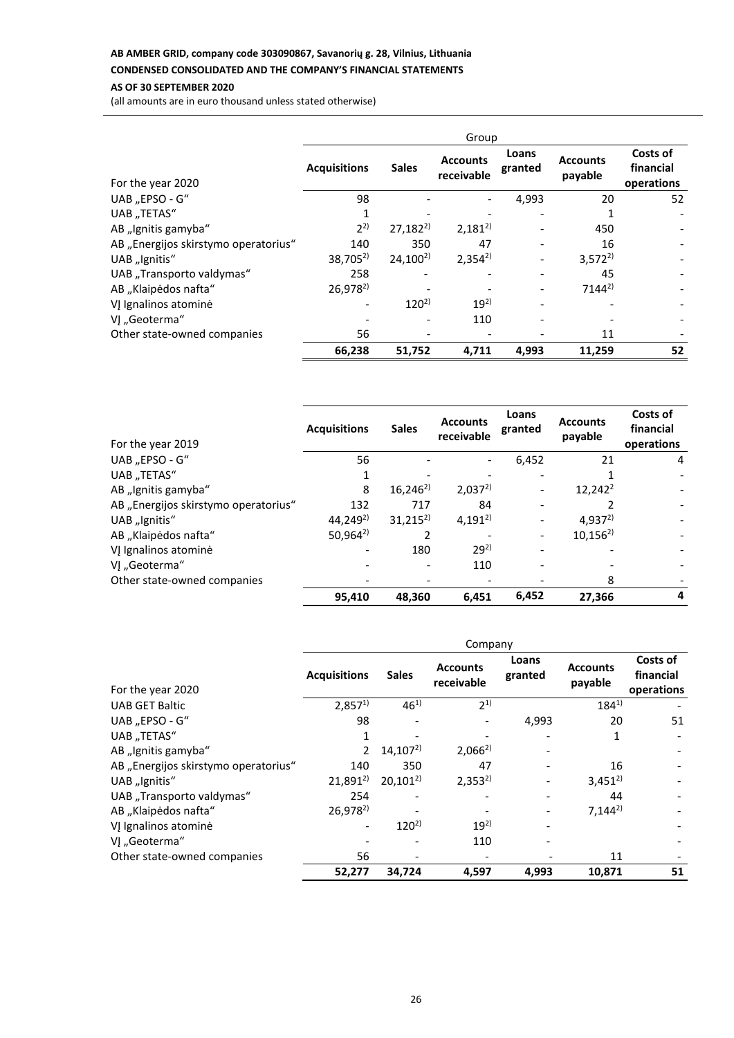# **AB AMBER GRID, company code 303090867, Savanorių g. 28, Vilnius, Lithuania**

# **CONDENSED CONSOLIDATED AND THE COMPANY'S FINANCIAL STATEMENTS**

# **AS OF 30 SEPTEMBER 2020**

(all amounts are in euro thousand unless stated otherwise)

|                                      | Group               |              |                               |                  |                            |                                     |
|--------------------------------------|---------------------|--------------|-------------------------------|------------------|----------------------------|-------------------------------------|
| For the year 2020                    | <b>Acquisitions</b> | <b>Sales</b> | <b>Accounts</b><br>receivable | Loans<br>granted | <b>Accounts</b><br>payable | Costs of<br>financial<br>operations |
| UAB "EPSO - G"                       | 98                  |              |                               | 4,993            | 20                         | 52                                  |
| UAB "TETAS"                          |                     |              |                               |                  |                            |                                     |
| AB "Ignitis gamyba"                  | $2^{2}$             | $27,182^{2}$ | $2,181^{2}$                   |                  | 450                        |                                     |
| AB "Energijos skirstymo operatorius" | 140                 | 350          | 47                            |                  | 16                         |                                     |
| UAB "Ignitis"                        | $38,705^{2}$        | $24,100^{2}$ | $2,354^{2}$                   |                  | $3,572^{2}$                |                                     |
| UAB "Transporto valdymas"            | 258                 |              |                               |                  | 45                         |                                     |
| AB "Klaipėdos nafta"                 | $26,978^{2}$        |              |                               |                  | $7144^{2}$                 |                                     |
| VJ Ignalinos atominė                 |                     | $120^{2}$    | $19^{2}$                      |                  |                            |                                     |
| VJ "Geoterma"                        |                     |              | 110                           |                  |                            |                                     |
| Other state-owned companies          | 56                  |              |                               |                  | 11                         |                                     |
|                                      | 66,238              | 51,752       | 4,711                         | 4,993            | 11,259                     | 52                                  |

| For the year 2019                    | <b>Acquisitions</b>  | <b>Sales</b> | <b>Accounts</b><br>receivable | Loans<br>granted | <b>Accounts</b><br>payable | Costs of<br>financial<br>operations |
|--------------------------------------|----------------------|--------------|-------------------------------|------------------|----------------------------|-------------------------------------|
| UAB "EPSO - G"                       | 56                   |              |                               | 6,452            | 21                         | 4                                   |
| UAB "TETAS"                          |                      |              |                               |                  |                            |                                     |
| AB "Ignitis gamyba"                  | 8                    | $16,246^{2}$ | $2,037^{2}$                   |                  | $12,242^2$                 |                                     |
| AB "Energijos skirstymo operatorius" | 132                  | 717          | 84                            |                  |                            | $\overline{\phantom{a}}$            |
| UAB "Ignitis"                        | 44,249 <sup>2)</sup> | $31,215^{2}$ | $4,191^{2}$                   |                  | $4,937^{2}$                |                                     |
| AB "Klaipėdos nafta"                 | $50,964^{2}$         |              |                               |                  | $10,156^{2}$               |                                     |
| VĮ Ignalinos atominė                 |                      | 180          | $29^{2}$                      |                  |                            |                                     |
| VJ "Geoterma"                        |                      |              | 110                           |                  |                            |                                     |
| Other state-owned companies          |                      |              |                               |                  | 8                          |                                     |
|                                      | 95,410               | 48,360       | 6.451                         | 6,452            | 27.366                     | 4                                   |

|                                      | Company             |              |                               |                  |                            |                                     |
|--------------------------------------|---------------------|--------------|-------------------------------|------------------|----------------------------|-------------------------------------|
| For the year 2020                    | <b>Acquisitions</b> | <b>Sales</b> | <b>Accounts</b><br>receivable | Loans<br>granted | <b>Accounts</b><br>payable | Costs of<br>financial<br>operations |
| <b>UAB GET Baltic</b>                | $2,857^{1}$         | $46^{1}$     | $2^{1}$                       |                  | $184^{1}$                  |                                     |
| UAB "EPSO - G"                       | 98                  |              |                               | 4,993            | 20                         | 51                                  |
| UAB "TETAS"                          |                     |              |                               |                  | 1                          |                                     |
| AB "Ignitis gamyba"                  | $\overline{2}$      | $14,107^{2}$ | $2,066^{2}$                   |                  |                            |                                     |
| AB "Energijos skirstymo operatorius" | 140                 | 350          | 47                            |                  | 16                         |                                     |
| UAB "Ignitis"                        | $21,891^{2}$        | $20,101^{2}$ | $2,353^{2}$                   |                  | $3,451^{2}$                |                                     |
| UAB "Transporto valdymas"            | 254                 |              |                               |                  | 44                         |                                     |
| AB "Klaipėdos nafta"                 | $26,978^{2}$        |              |                               |                  | $7,144^{2}$                |                                     |
| VJ Ignalinos atominė                 |                     | $120^{2}$    | $19^{2}$                      |                  |                            |                                     |
| VI "Geoterma"                        |                     |              | 110                           |                  |                            |                                     |
| Other state-owned companies          | 56                  |              |                               |                  | 11                         |                                     |
|                                      | 52,277              | 34,724       | 4,597                         | 4,993            | 10,871                     | 51                                  |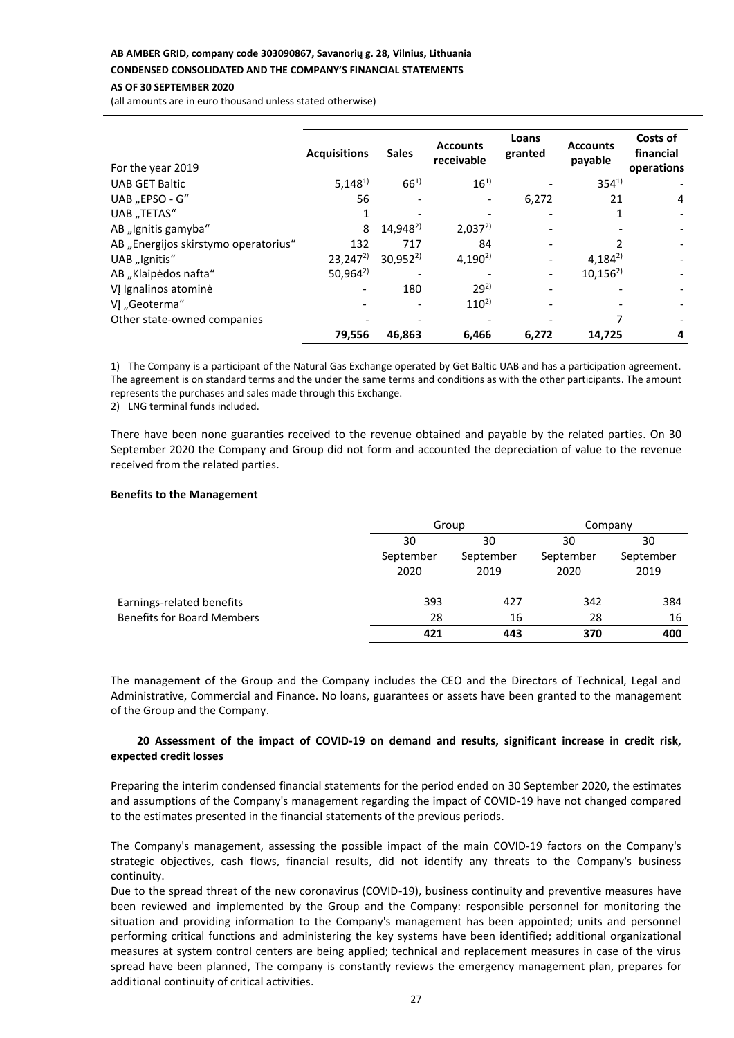#### **AB AMBER GRID, company code 303090867, Savanorių g. 28, Vilnius, Lithuania**

**CONDENSED CONSOLIDATED AND THE COMPANY'S FINANCIAL STATEMENTS**

#### **AS OF 30 SEPTEMBER 2020**

(all amounts are in euro thousand unless stated otherwise)

| For the year 2019                    | <b>Acquisitions</b> | <b>Sales</b>         | <b>Accounts</b><br>receivable | Loans<br>granted | <b>Accounts</b><br>payable | Costs of<br>financial<br>operations |
|--------------------------------------|---------------------|----------------------|-------------------------------|------------------|----------------------------|-------------------------------------|
| <b>UAB GET Baltic</b>                | $5,148^{1}$         | $66^{1}$             | $16^{1}$                      |                  | $354^{1}$                  |                                     |
| UAB "EPSO - G"                       | 56                  |                      |                               | 6,272            | 21                         | 4                                   |
| UAB "TETAS"                          |                     |                      |                               |                  |                            |                                     |
| AB "Ignitis gamyba"                  | 8                   | 14,948 <sup>2)</sup> | $2,037^{2}$                   |                  |                            |                                     |
| AB "Energijos skirstymo operatorius" | 132                 | 717                  | 84                            |                  |                            |                                     |
| UAB "Ignitis"                        | $23,247^2$          | $30,952^{2}$         | $4,190^{2}$                   |                  | $4,184^{2}$                |                                     |
| AB "Klaipėdos nafta"                 | $50,964^{2}$        |                      |                               |                  | $10,156^{2}$               |                                     |
| VJ Ignalinos atominė                 |                     | 180                  | $29^{2}$                      |                  |                            |                                     |
| VI "Geoterma"                        |                     |                      | $110^{2}$                     |                  |                            |                                     |
| Other state-owned companies          |                     |                      |                               |                  |                            |                                     |
|                                      | 79,556              | 46.863               | 6,466                         | 6,272            | 14.725                     | 4                                   |

1) The Company is a participant of the Natural Gas Exchange operated by Get Baltic UAB and has a participation agreement. The agreement is on standard terms and the under the same terms and conditions as with the other participants. The amount represents the purchases and sales made through this Exchange.

2) LNG terminal funds included.

There have been none guaranties received to the revenue obtained and payable by the related parties. On 30 September 2020 the Company and Group did not form and accounted the depreciation of value to the revenue received from the related parties.

#### **Benefits to the Management**

|                                   | Group |                              | Company |           |  |    |  |    |
|-----------------------------------|-------|------------------------------|---------|-----------|--|----|--|----|
|                                   | 30    | 30<br>September<br>September |         |           |  | 30 |  | 30 |
|                                   |       |                              |         | September |  |    |  |    |
|                                   | 2020  | 2019                         | 2020    | 2019      |  |    |  |    |
|                                   |       |                              |         |           |  |    |  |    |
| Earnings-related benefits         | 393   | 427                          | 342     | 384       |  |    |  |    |
| <b>Benefits for Board Members</b> | 28    | 16                           | 28      | 16        |  |    |  |    |
|                                   | 421   | 443                          | 370     | 400       |  |    |  |    |

The management of the Group and the Company includes the CEO and the Directors of Technical, Legal and Administrative, Commercial and Finance. No loans, guarantees or assets have been granted to the management of the Group and the Company.

## **20 Assessment of the impact of COVID-19 on demand and results, significant increase in credit risk, expected credit losses**

Preparing the interim condensed financial statements for the period ended on 30 September 2020, the estimates and assumptions of the Company's management regarding the impact of COVID-19 have not changed compared to the estimates presented in the financial statements of the previous periods.

The Company's management, assessing the possible impact of the main COVID-19 factors on the Company's strategic objectives, cash flows, financial results, did not identify any threats to the Company's business continuity.

Due to the spread threat of the new coronavirus (COVID-19), business continuity and preventive measures have been reviewed and implemented by the Group and the Company: responsible personnel for monitoring the situation and providing information to the Company's management has been appointed; units and personnel performing critical functions and administering the key systems have been identified; additional organizational measures at system control centers are being applied; technical and replacement measures in case of the virus spread have been planned, The company is constantly reviews the emergency management plan, prepares for additional continuity of critical activities.